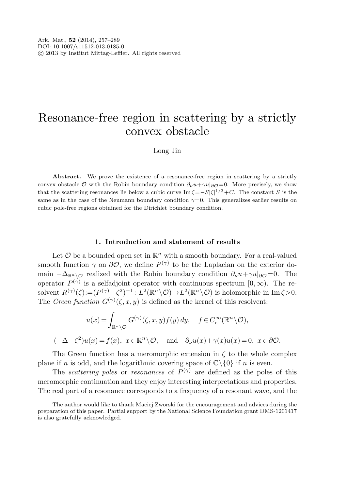# Resonance-free region in scattering by a strictly convex obstacle

Long Jin

Abstract. We prove the existence of a resonance-free region in scattering by a strictly convex obstacle  $\mathcal O$  with the Robin boundary condition  $\partial_\nu u + \gamma u|_{\partial \mathcal O} = 0$ . More precisely, we show that the scattering resonances lie below a cubic curve  $\text{Im }\zeta = -S|\zeta|^{1/3} + C$ . The constant S is the same as in the case of the Neumann boundary condition  $\gamma=0$ . This generalizes earlier results on cubic pole-free regions obtained for the Dirichlet boundary condition.

#### **1. Introduction and statement of results**

Let  $\mathcal O$  be a bounded open set in  $\mathbb R^n$  with a smooth boundary. For a real-valued smooth function  $\gamma$  on  $\partial\mathcal{O}$ , we define  $P^{(\gamma)}$  to be the Laplacian on the exterior domain  $-\Delta_{\mathbb{R}^n\setminus\mathcal{O}}$  realized with the Robin boundary condition  $\partial_\nu u + \gamma u|_{\partial\mathcal{O}}=0$ . The operator  $P^{(\gamma)}$  is a selfadjoint operator with continuous spectrum  $[0, \infty)$ . The resolvent  $R^{(\gamma)}(\zeta) := (P^{(\gamma)} - \zeta^2)^{-1}$ :  $L^2(\mathbb{R}^n \setminus \mathcal{O}) \to L^2(\mathbb{R}^n \setminus \mathcal{O})$  is holomorphic in Im  $\zeta > 0$ . The *Green function*  $G^{(\gamma)}(\zeta, x, y)$  is defined as the kernel of this resolvent: **1. Introduction and statement of results**<br>
Let  $\mathcal O$  be a bounded open set in  $\mathbb{R}^n$  with a smooth boundary. For a real-v<br>
th function  $\gamma$  on  $\partial \mathcal O$ , we define  $P^{(\gamma)}$  to be the Laplacian on the exteric<br>  $-\Delta_{\mathbb{$ 

$$
u(x) = \int_{\mathbb{R}^n \setminus \mathcal{O}} G^{(\gamma)}(\zeta, x, y) f(y) dy, \quad f \in C_c^{\infty}(\mathbb{R}^n \setminus \mathcal{O}),
$$
  

$$
(-\Delta - \zeta^2) u(x) = f(x), \ x \in \mathbb{R}^n \setminus \overline{\mathcal{O}}, \quad \text{and} \quad \partial_\nu u(x) + \gamma(x) u(x) = 0, \ x \in \partial \mathcal{O}
$$

The Green function has a meromorphic extension in  $\zeta$  to the whole complex plane if n is odd, and the logarithmic covering space of  $\mathbb{C}\setminus\{0\}$  if n is even.

The *scattering poles* or *resonances* of  $P^{(\gamma)}$  are defined as the poles of this meromorphic continuation and they enjoy interesting interpretations and properties. The real part of a resonance corresponds to a frequency of a resonant wave, and the

The author would like to thank Maciej Zworski for the encouragement and advices during the preparation of this paper. Partial support by the National Science Foundation grant DMS-1201417 is also gratefully acknowledged.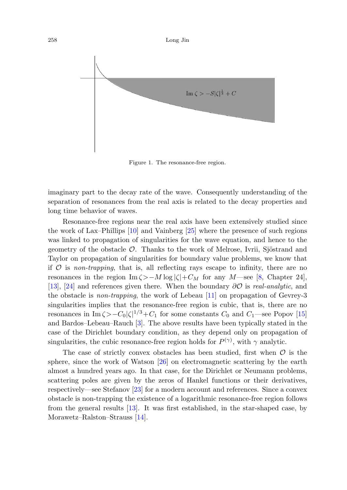

Figure 1. The resonance-free region.

imaginary part to the decay rate of the wave. Consequently understanding of the separation of resonances from the real axis is related to the decay properties and long time behavior of waves.

Resonance-free regions near the real axis have been extensively studied since the work of Lax–Phillips [[10\]](#page-31-0) and Vainberg [\[25](#page-31-1)] where the presence of such regions was linked to propagation of singularities for the wave equation, and hence to the geometry of the obstacle  $\mathcal{O}$ . Thanks to the work of Melrose, Ivrii, Sjöstrand and Taylor on propagation of singularities for boundary value problems, we know that if  $\mathcal O$  is non-trapping, that is, all reflecting rays escape to infinity, there are no resonances in the region Im  $\zeta > -M \log |\zeta| + C_M$  for any M—see [[8,](#page-31-2) Chapter 24], [\[13](#page-31-3)], [\[24](#page-31-4)] and references given there. When the boundary ∂O is real-analytic, and the obstacle is non-trapping, the work of Lebeau [\[11](#page-31-5)] on propagation of Gevrey-3 singularities implies that the resonance-free region is cubic, that is, there are no resonances in Im $\zeta > -C_0 |\zeta|^{1/3} + C_1$  for some constants  $C_0$  and  $C_1$ —see Popov [[15\]](#page-31-6) and Bardos–Lebeau–Rauch [[3\]](#page-30-0). The above results have been typically stated in the case of the Dirichlet boundary condition, as they depend only on propagation of singularities, the cubic resonance-free region holds for  $P^{(\gamma)}$ , with  $\gamma$  analytic.

The case of strictly convex obstacles has been studied, first when  $\mathcal O$  is the sphere, since the work of Watson [\[26](#page-31-7)] on electromagnetic scattering by the earth almost a hundred years ago. In that case, for the Dirichlet or Neumann problems, scattering poles are given by the zeros of Hankel functions or their derivatives, respectively—see Stefanov [\[23\]](#page-31-8) for a modern account and references. Since a convex obstacle is non-trapping the existence of a logarithmic resonance-free region follows from the general results [[13\]](#page-31-3). It was first established, in the star-shaped case, by Morawetz–Ralston–Strauss [\[14](#page-31-9)].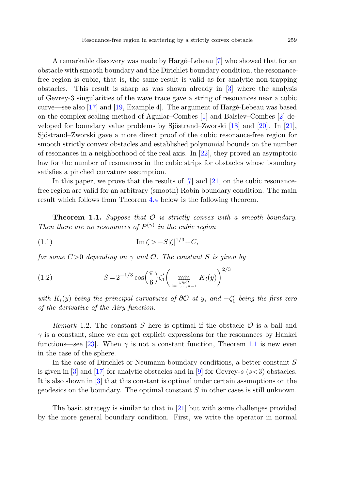A remarkable discovery was made by Harge–Lebeau [[7\]](#page-31-10) who showed that for an obstacle with smooth boundary and the Dirichlet boundary condition, the resonancefree region is cubic, that is, the same result is valid as for analytic non-trapping obstacles. This result is sharp as was shown already in [[3](#page-30-0)] where the analysis of Gevrey-3 singularities of the wave trace gave a string of resonances near a cubic curve—see also  $[17]$  $[17]$  and  $[19]$  $[19]$ , Example 4. The argument of Hargé-Lebeau was based on the complex scaling method of Aguilar–Combes [[1\]](#page-30-1) and Balslev–Combes [\[2](#page-30-2)] de-veloped for boundary value problems by Sjöstrand–Zworski [[18\]](#page-31-13) and [[20\]](#page-31-14). In [[21\]](#page-31-15), Sjöstrand–Zworski gave a more direct proof of the cubic resonance-free region for smooth strictly convex obstacles and established polynomial bounds on the number of resonances in a neighborhood of the real axis. In [[22\]](#page-31-16), they proved an asymptotic law for the number of resonances in the cubic strips for obstacles whose boundary satisfies a pinched curvature assumption.

<span id="page-2-0"></span>In this paper, we prove that the results of  $[7]$  $[7]$  and  $[21]$  $[21]$  on the cubic resonancefree region are valid for an arbitrary (smooth) Robin boundary condition. The main result which follows from Theorem [4.4](#page-25-0) below is the following theorem.

**Theorem 1.1.** Suppose that  $\mathcal O$  is strictly convex with a smooth boundary. Then there are no resonances of  $P^{(\gamma)}$  in the cubic region

(1.1) 
$$
\operatorname{Im} \zeta > -S|\zeta|^{1/3} + C,
$$

for some  $C>0$  depending on  $\gamma$  and  $\mathcal{O}$ . The constant S is given by

(1.2) 
$$
S = 2^{-1/3} \cos\left(\frac{\pi}{6}\right) \zeta_1' \left( \min_{\substack{y \in \mathcal{O} \\ i = 1, ..., n-1}} K_i(y) \right)^{2/3}
$$

with  $K_i(y)$  being the principal curvatures of  $\partial\mathcal{O}$  at y, and  $-\zeta_1'$  being the first zero of the derivative of the Airy function.

Remark 1.2. The constant S here is optimal if the obstacle  $\mathcal O$  is a ball and  $\gamma$  is a constant, since we can get explicit expressions for the resonances by Hankel functions—see [\[23](#page-31-8)]. When  $\gamma$  is not a constant function, Theorem [1.1](#page-2-0) is new even in the case of the sphere.

In the case of Dirichlet or Neumann boundary conditions, a better constant S is given in  $\lbrack 3\rbrack$  and  $\lbrack 17\rbrack$  for analytic obstacles and in  $\lbrack 9\rbrack$  for Gevrey-s (s<3) obstacles. It is also shown in [[3\]](#page-30-0) that this constant is optimal under certain assumptions on the geodesics on the boundary. The optimal constant S in other cases is still unknown.

The basic strategy is similar to that in [[21\]](#page-31-15) but with some challenges provided by the more general boundary condition. First, we write the operator in normal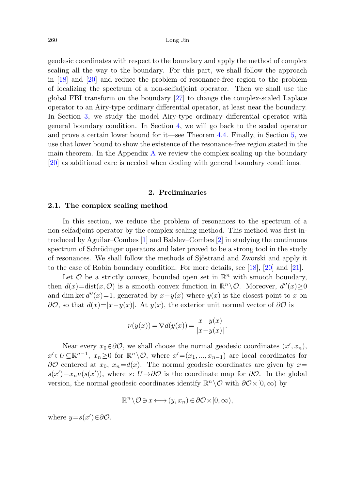geodesic coordinates with respect to the boundary and apply the method of complex scaling all the way to the boundary. For this part, we shall follow the approach in [\[18](#page-31-13)] and [\[20](#page-31-14)] and reduce the problem of resonance-free region to the problem of localizing the spectrum of a non-selfadjoint operator. Then we shall use the global FBI transform on the boundary [[27\]](#page-32-0) to change the complex-scaled Laplace operator to an Airy-type ordinary differential operator, at least near the boundary. In Section [3](#page-10-0), we study the model Airy-type ordinary differential operator with general boundary condition. In Section [4,](#page-18-0) we will go back to the scaled operator and prove a certain lower bound for it—see Theorem [4.4](#page-25-0). Finally, in Section [5](#page-26-0), we use that lower bound to show the existence of the resonance-free region stated in the main theorem. In the [A](#page-27-0)ppendix  $\bf{A}$  we review the complex scaling up the boundary [\[20](#page-31-14)] as additional care is needed when dealing with general boundary conditions.

#### **2. Preliminaries**

#### <span id="page-3-0"></span>**2.1. The complex scaling method**

In this section, we reduce the problem of resonances to the spectrum of a non-selfadjoint operator by the complex scaling method. This method was first introduced by Aguilar–Combes [[1\]](#page-30-1) and Balslev–Combes [[2\]](#page-30-2) in studying the continuous spectrum of Schrödinger operators and later proved to be a strong tool in the study of resonances. We shall follow the methods of Sjöstrand and Zworski and apply it to the case of Robin boundary condition. For more details, see [\[18](#page-31-13)], [[20\]](#page-31-14) and [\[21](#page-31-15)].

Let  $\mathcal O$  be a strictly convex, bounded open set in  $\mathbb{R}^n$  with smooth boundary, then  $d(x)=dist(x, 0)$  is a smooth convex function in  $\mathbb{R}^n \setminus \mathcal{O}$ . Moreover,  $d''(x)\geq 0$ and dim ker  $d''(x)=1$ , generated by  $x-y(x)$  where  $y(x)$  is the closest point to x on  $\partial \mathcal{O}$ , so that  $d(x)=|x-y(x)|$ . At  $y(x)$ , the exterior unit normal vector of  $\partial \mathcal{O}$  is

$$
\nu(y(x)) = \nabla d(y(x)) = \frac{x - y(x)}{|x - y(x)|}.
$$

Near every  $x_0 \in \partial \mathcal{O}$ , we shall choose the normal geodesic coordinates  $(x', x_n)$ ,  $x' \in U \subseteq \mathbb{R}^{n-1}$ ,  $x_n \geq 0$  for  $\mathbb{R}^n \setminus \mathcal{O}$ , where  $x' = (x_1, ..., x_{n-1})$  are local coordinates for  $\partial\mathcal{O}$  centered at  $x_0, x_n = d(x)$ . The normal geodesic coordinates are given by  $x=$  $s(x') + x_n \nu(s(x'))$ , where  $s: U \rightarrow \partial \mathcal{O}$  is the coordinate map for  $\partial \mathcal{O}$ . In the global version, the normal geodesic coordinates identify  $\mathbb{R}^n \setminus \mathcal{O}$  with  $\partial \mathcal{O} \times [0, \infty)$  by

$$
\mathbb{R}^n \setminus \mathcal{O} \ni x \longleftrightarrow (y, x_n) \in \partial \mathcal{O} \times [0, \infty),
$$

where  $y=s(x')\in\partial\mathcal{O}$ .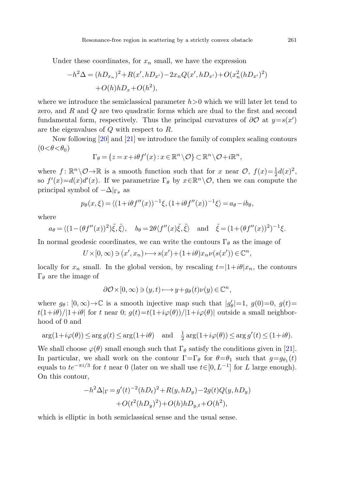Under these coordinates, for  $x_n$  small, we have the expression

$$
-h^{2}\Delta = (hD_{x_{n}})^{2} + R(x', hD_{x'}) - 2x_{n}Q(x', hD_{x'}) + O(x_{n}^{2}(hD_{x'})^{2})
$$

$$
+ O(h)hD_{x} + O(h^{2}),
$$

where we introduce the semiclassical parameter  $h>0$  which we will later let tend to zero, and R and Q are two quadratic forms which are dual to the first and second fundamental form, respectively. Thus the principal curvatures of  $\partial O$  at  $y=s(x')$ are the eigenvalues of Q with respect to R.

Now following [[20\]](#page-31-14) and [[21\]](#page-31-15) we introduce the family of complex scaling contours  $(0<\theta<\theta_0)$ 

$$
\Gamma_{\theta} = \{ z = x + i\theta f'(x) : x \in \mathbb{R}^n \setminus \mathcal{O} \} \subset \mathbb{R}^n \setminus \mathcal{O} + i\mathbb{R}^n,
$$

where  $f: \mathbb{R}^n \setminus \mathcal{O} \to \mathbb{R}$  is a smooth function such that for x near  $\mathcal{O}$ ,  $f(x) = \frac{1}{2}d(x)^2$ , so  $f'(x) = d(x)d'(x)$ . If we parametrize  $\Gamma_{\theta}$  by  $x \in \mathbb{R}^{n} \setminus \mathcal{O}$ , then we can compute the principal symbol of  $-\Delta|_{\Gamma_{\theta}}$  as

$$
p_{\theta}(x,\xi) = \langle (1 + i\theta f''(x))^{-1}\xi, (1 + i\theta f''(x))^{-1}\xi \rangle = a_{\theta} - ib_{\theta},
$$

where

$$
a_{\theta} = \langle (1 - (\theta f''(x))^2)\tilde{\xi}, \tilde{\xi}\rangle, b_{\theta} = 2\theta \langle f''(x)\tilde{\xi}, \tilde{\xi}\rangle \text{ and } \tilde{\xi} = (1 + (\theta f''(x))^2)^{-1}\xi.
$$

In normal geodesic coordinates, we can write the contours  $\Gamma_{\theta}$  as the image of

$$
U \times [0, \infty) \ni (x', x_n) \longmapsto s(x') + (1 + i\theta)x_n \nu(s(x')) \in \mathbb{C}^n,
$$

locally for  $x_n$  small. In the global version, by rescaling  $t=|1+i\theta|x_n$ , the contours Γ<sub>θ</sub> are the image of

$$
\partial \mathcal{O} \times [0, \infty) \ni (y, t) \longmapsto y + g_{\theta}(t) \nu(y) \in \mathbb{C}^n,
$$

where  $g_{\theta}$ :  $[0,\infty) \to \mathbb{C}$  is a smooth injective map such that  $|g'_{\theta}| = 1$ ,  $g(0) = 0$ ,  $g(t) =$  $t(1+i\theta)/|1+i\theta|$  for t near 0;  $q(t)=t(1+i\varphi(\theta))/|1+i\varphi(\theta)|$  outside a small neighborhood of 0 and

$$
\arg(1+i\varphi(\theta)) \le \arg g(t) \le \arg(1+i\theta) \quad \text{and} \quad \frac{1}{2}\arg(1+i\varphi(\theta)) \le \arg g'(t) \le (1+i\theta).
$$

We shall choose  $\varphi(\theta)$  small enough such that  $\Gamma_{\theta}$  satisfy the conditions given in [[21\]](#page-31-15). In particular, we shall work on the contour  $\Gamma = \Gamma_{\theta}$  for  $\theta = \theta_1$  such that  $g = g_{\theta_1}(t)$ equals to  $te^{-\pi i/3}$  for t near 0 (later on we shall use  $t \in [0, L^{-1}]$  for L large enough). On this contour,

$$
-h^{2}\Delta|_{\Gamma} = g'(t)^{-2}(hD_{t})^{2} + R(y, hD_{y}) - 2g(t)Q(y, hD_{y}) + O(t^{2}(hD_{y})^{2}) + O(h)hD_{y,t} + O(h^{2}),
$$

which is elliptic in both semiclassical sense and the usual sense.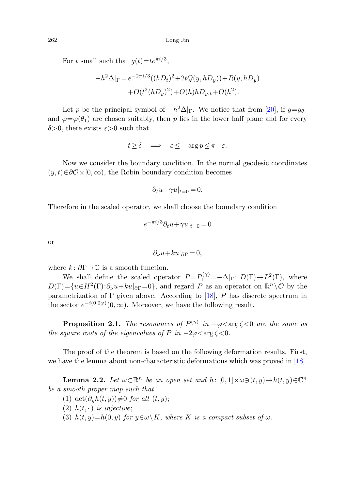For t small such that  $q(t)=te^{\pi i/3}$ ,

$$
-h^{2}\Delta|_{\Gamma} = e^{-2\pi i/3}((hD_{t})^{2} + 2tQ(y, hD_{y})) + R(y, hD_{y}) + O(t^{2}(hD_{y})^{2}) + O(h)hD_{y,t} + O(h^{2}).
$$

Let p be the principal symbol of  $-h^2\Delta|_{\Gamma}$ . We notice that from [\[20](#page-31-14)], if  $q=q_{\theta_1}$ and  $\varphi = \varphi(\theta_1)$  are chosen suitably, then p lies in the lower half plane and for every  $\delta$ >0, there exists  $\varepsilon$ >0 such that

$$
t \ge \delta \quad \Longrightarrow \quad \varepsilon \le -\arg p \le \pi - \varepsilon.
$$

Now we consider the boundary condition. In the normal geodesic coordinates  $(y, t) \in \partial \mathcal{O} \times [0, \infty)$ , the Robin boundary condition becomes

$$
\partial_t u + \gamma u|_{t=0} = 0.
$$

Therefore in the scaled operator, we shall choose the boundary condition

$$
e^{-\pi i/3}\partial_t u + \gamma u|_{t=0} = 0
$$

or

$$
\partial_{\nu}u + ku|_{\partial\Gamma} = 0,
$$

<span id="page-5-0"></span>where  $k: \partial \Gamma \to \mathbb{C}$  is a smooth function.

We shall define the scaled operator  $P = P_{\Gamma}^{(\gamma)} = -\Delta|_{\Gamma} : D(\Gamma) \to L^2(\Gamma)$ , where  $D(\Gamma) = \{u \in H^2(\Gamma): \partial_\nu u + k u|_{\partial \Gamma} = 0\}$ , and regard P as an operator on  $\mathbb{R}^n \setminus \mathcal{O}$  by the parametrization of  $\Gamma$  given above. According to [[18\]](#page-31-13), P has discrete spectrum in the sector  $e^{-i(0,2\varphi)}(0,\infty)$ . Moreover, we have the following result.

<span id="page-5-1"></span>**Proposition 2.1.** The resonances of  $P^{(\gamma)}$  in  $-\varphi < \arg \zeta < 0$  are the same as the square roots of the eigenvalues of P in  $-2\varphi \langle \arg \zeta \langle 0$ .

The proof of the theorem is based on the following deformation results. First, we have the lemma about non-characteristic deformations which was proved in [\[18](#page-31-13)].

**Lemma 2.2.** Let  $\omega \subset \mathbb{R}^n$  be an open set and h:  $[0, 1] \times \omega \ni (t, y) \mapsto h(t, y) \in \mathbb{C}^n$ be a smooth proper map such that

- (1) det $(\partial_u h(t, y)) \neq 0$  for all  $(t, y)$ ;
- (2)  $h(t, \cdot)$  is injective;
- (3)  $h(t, y)=h(0, y)$  for  $y \in \omega \backslash K$ , where K is a compact subset of  $\omega$ .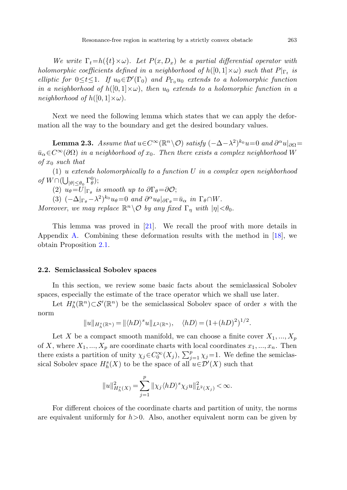<span id="page-6-0"></span>We write  $\Gamma_t=h({t} \times \omega)$ . Let  $P(x, D_x)$  be a partial differential operator with holomorphic coefficients defined in a neighborhood of  $h([0,1]\times\omega)$  such that  $P|_{\Gamma_t}$  is elliptic for  $0 \le t \le 1$ . If  $u_0 \in \mathcal{D}'(\Gamma_0)$  and  $P_{\Gamma_0} u_0$  extends to a holomorphic function in a neighborhood of  $h([0,1]\times\omega)$ , then  $u_0$  extends to a holomorphic function in a neighborhood of  $h([0,1] \times \omega)$ .

Next we need the following lemma which states that we can apply the deformation all the way to the boundary and get the desired boundary values.

**Lemma 2.3.** Assume that  $u \in C^{\infty}(\mathbb{R}^n \setminus \mathcal{O})$  satisfy  $(-\Delta - \lambda^2)^{k_0}u = 0$  and  $\partial^{\alpha}u|_{\partial\Omega} =$  $\bar{u}_{\alpha} \in C^{\infty}(\partial \Omega)$  in a neighborhood of  $x_0$ . Then there exists a complex neighborhood W of  $x_0$  such that

(1) u extends holomorphically to a function  $U$  in a complex open neighborhood of  $W \cap (\bigcup_{|\theta| \le \theta_0} \Gamma_\theta^0);$ 

(2)  $u_{\theta} = U|_{\Gamma_{\theta}}$  is smooth up to  $\partial \Gamma_{\theta} = \partial \mathcal{O};$ 

(3)  $(-\Delta|_{\Gamma_\theta} - \lambda^2)^{k_0} u_\theta = 0$  and  $\partial^\alpha u_\theta|_{\partial \Gamma_\theta} = \bar{u}_\alpha$  in  $\Gamma_\theta \cap W$ .

Moreover, we may replace  $\mathbb{R}^n \setminus \mathcal{O}$  by any fixed  $\Gamma_n$  with  $|\eta| < \theta_0$ .

This lemma was proved in [[21\]](#page-31-15). We recall the proof with more details in Appendix [A.](#page-27-0) Combining these deformation results with the method in [[18\]](#page-31-13), we obtain Proposition [2.1.](#page-5-0)

#### **2.2. Semiclassical Sobolev spaces**

In this section, we review some basic facts about the semiclassical Sobolev spaces, especially the estimate of the trace operator which we shall use later.

Let  $H_h^s(\mathbb{R}^n) \subset \mathcal{S}'(\mathbb{R}^n)$  be the semiclassical Sobolev space of order s with the norm

$$
||u||_{H_h^s(\mathbb{R}^n)} = ||\langle hD\rangle^s u||_{L^2(\mathbb{R}^n)}, \quad \langle hD\rangle = (1 + (hD)^2)^{1/2}.
$$

Let X be a compact smooth manifold, we can choose a finite cover  $X_1, ..., X_p$ of X, where  $X_1, ..., X_p$  are coordinate charts with local coordinates  $x_1, ..., x_n$ . Then there exists a partition of unity  $\chi_j \in C_0^{\infty}(X_j)$ ,  $\sum_{j=1}^p \chi_j = 1$ . We define the semiclassical Sobolev space  $H_h^s(X)$  to be the space of all  $u \in \mathcal{D}'(X)$  such that

$$
\|u\|_{H_h^s(X)}^2=\sum_{j=1}^p\|\chi_j\langle hD\rangle^s\chi_ju\|_{L^2(X_j)}^2<\infty.
$$

For different choices of the coordinate charts and partition of unity, the norms are equivalent uniformly for  $h > 0$ . Also, another equivalent norm can be given by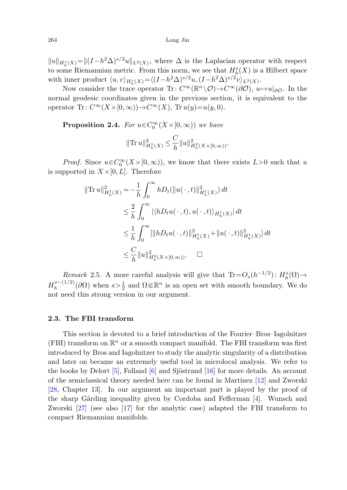<span id="page-7-1"></span> $||u||_{H_h^s(X)} = ||(I-h^2\Delta)^{s/2}u||_{L^2(X)}$ , where  $\Delta$  is the Laplacian operator with respect to some Riemannian metric. From this norm, we see that  $H_h^s(X)$  is a Hilbert space with inner product  $\langle u, v \rangle_{H_h^s(X)} = \langle (I - h^2 \Delta)^{s/2} u, (I - h^2 \Delta)^{s/2} v \rangle_{L^2(X)}$ .

Now consider the trace operator Tr:  $C^{\infty}(\mathbb{R}^n \setminus \mathcal{O}) \to C^{\infty}(\partial \mathcal{O}), u \mapsto u|_{\partial \mathcal{O}}$ . In the normal geodesic coordinates given in the previous section, it is equivalent to the operator Tr:  $C^{\infty}(X\times[0,\infty))\to C^{\infty}(X)$ , Tr  $u(y)=u(y,0)$ .

**Proposition 2.4.** For  $u \in C_0^{\infty}(X \times [0, \infty))$  we have

$$
\|\text{Tr}\, u\|_{H_h^1(X)}^2 \leq \frac{C}{h} \|u\|_{H_h^2(X\times [0,\infty))}^2.
$$

*Proof.* Since  $u \in C_0^{\infty}(X \times [0, \infty))$ , we know that there exists  $L > 0$  such that u is supported in  $X\times[0,L]$ . Therefore

$$
\begin{aligned} \|\text{Tr}\,u\|_{H_h^1(X)}^2 &= -\frac{1}{h} \int_0^\infty h D_t(\|u(\,\cdot\,,t)\|_{H_h^1(X)}^2) \, dt \\ &\leq \frac{2}{h} \int_0^\infty |\langle h D_t u(\,\cdot\,,t), u(\,\cdot\,,t) \rangle_{H_h^1(X)}| \, dt \\ &\leq \frac{1}{h} \int_0^\infty \left[ \|h D_t u(\,\cdot\,,t)\|_{H_h^1(X)}^2 + \|u(\,\cdot\,,t)\|_{H_h^1(X)}^2 \right] dt \\ &\leq \frac{C}{h} \|u\|_{H_h^2(X\times[0,\infty))}^2. \quad \Box \end{aligned}
$$

<span id="page-7-0"></span>Remark 2.5. A more careful analysis will give that  $\text{Tr} = O_s(h^{-1/2})$ :  $H_h^s(\Omega) \rightarrow$  $H_h^{s-(1/2)}(\partial\Omega)$  when  $s > \frac{1}{2}$  and  $\Omega \in \mathbb{R}^n$  is an open set with smooth boundary. We do not need this strong version in our argument.

#### **2.3. The FBI transform**

This section is devoted to a brief introduction of the Fourier–Bros–Iagolnitzer (FBI) transform on  $\mathbb{R}^n$  or a smooth compact manifold. The FBI transform was first introduced by Bros and Iagolnitzer to study the analytic singularity of a distribution and later on became an extremely useful tool in microlocal analysis. We refer to the books by Delort  $[5]$  $[5]$ , Folland  $[6]$  $[6]$  and Sjöstrand  $[16]$  $[16]$  for more details. An account of the semiclassical theory needed here can be found in Martinez [\[12](#page-31-20)] and Zworski [\[28](#page-32-1), Chapter 13]. In our argument an important part is played by the proof of the sharp Gårding inequality given by Cordoba and Fefferman [\[4](#page-30-4)]. Wunsch and Zworski [\[27](#page-32-0)] (see also [\[17](#page-31-11)] for the analytic case) adapted the FBI transform to compact Riemannian manifolds.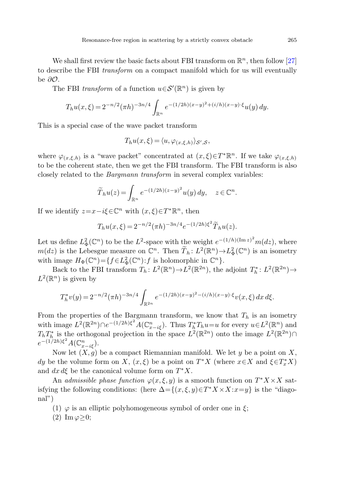We shall first review the basic facts about FBI transform on  $\mathbb{R}^n$ , then follow [[27\]](#page-32-0) to describe the FBI transform on a compact manifold which for us will eventually be ∂O.

The FBI transform of a function  $u \in \mathcal{S}'(\mathbb{R}^n)$  is given by

$$
T_h u(x,\xi) = 2^{-n/2} (\pi h)^{-3n/4} \int_{\mathbb{R}^n} e^{-(1/2h)(x-y)^2 + (i/h)(x-y)\cdot\xi} u(y) \, dy.
$$

This is a special case of the wave packet transform

$$
T_h u(x,\xi) = \langle u, \varphi_{(x,\xi,h)} \rangle_{\mathcal{S}',\mathcal{S}},
$$

where  $\varphi_{(x,\xi,h)}$  is a "wave packet" concentrated at  $(x,\xi) \in T^* \mathbb{R}^n$ . If we take  $\varphi_{(x,\xi,h)}$ to be the coherent state, then we get the FBI transform. The FBI transform is also closely related to the Bargmann transform in several complex variables:

$$
\widetilde{T}_h u(z) = \int_{\mathbb{R}^n} e^{-(1/2h)(z-y)^2} u(y) dy, \quad z \in \mathbb{C}^n.
$$

If we identify  $z=x-i\xi\in\mathbb{C}^n$  with  $(x,\xi)\in T^*\mathbb{R}^n$ , then

$$
T_h u(x,\xi) = 2^{-n/2} (\pi h)^{-3n/4} e^{-(1/2h)\xi^2} \widetilde{T}_h u(z).
$$

Let us define  $L^2_{\Phi}(\mathbb{C}^n)$  to be the  $L^2$ -space with the weight  $e^{-(1/h)(\text{Im }z)^2}m(dz)$ , where  $m(dz)$  is the Lebesgue measure on  $\mathbb{C}^n$ . Then  $\widetilde{T}_h : L^2(\mathbb{R}^n) \to L^2_{\Phi}(\mathbb{C}^n)$  is an isometry with image  $H_{\Phi}(\mathbb{C}^n) = \{f \in L^2_{\Phi}(\mathbb{C}^n) : f \text{ is holomorphic in } \mathbb{C}^n\}.$ 

Back to the FBI transform  $T_h: L^2(\mathbb{R}^n) \to L^2(\mathbb{R}^{2n})$ , the adjoint  $T_h^*: L^2(\mathbb{R}^{2n}) \to$  $L^2(\mathbb{R}^n)$  is given by

$$
T_h^* v(y) = 2^{-n/2} (\pi h)^{-3n/4} \int_{\mathbb{R}^{2n}} e^{-(1/2h)(x-y)^2 - (i/h)(x-y)\cdot\xi} v(x,\xi) dx d\xi.
$$

From the properties of the Bargmann transform, we know that  $T_h$  is an isometry with image  $L^2(\mathbb{R}^2) \cap e^{-(1/2h)\xi^2} A(\mathbb{C}_{x-i\xi}^n)$ . Thus  $T_h^* T_h u = u$  for every  $u \in L^2(\mathbb{R}^n)$  and  $T_h T_h^*$  is the orthogonal projection in the space  $L^2(\mathbb{R}^{2n})$  onto the image  $L^2(\mathbb{R}^{2n})\cap$  $e^{-(1/2h)\xi^2}A(\mathbb{C}^n_{x-i\xi}).$ 

Now let  $(X, g)$  be a compact Riemannian manifold. We let y be a point on X, dy be the volume form on X,  $(x, \xi)$  be a point on  $T^*X$  (where  $x \in X$  and  $\xi \in T^*_x X$ ) and  $dx d\xi$  be the canonical volume form on  $T^*X$ .

An admissible phase function  $\varphi(x, \xi, y)$  is a smooth function on  $T^*X \times X$  satisfying the following conditions: (here  $\Delta = \{(x, \xi, y) \in T^*X \times X : x = y\}$  is the "diagonal")

- (1)  $\varphi$  is an elliptic polyhomogeneous symbol of order one in  $\xi$ ;
- (2) Im  $\varphi \geq 0$ ;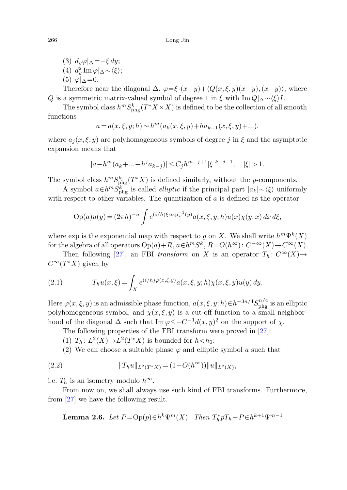(3)  $d_u \varphi|_{\Delta} = -\xi \, dy;$ (4)  $d_y^2 \operatorname{Im} \varphi |_{\Delta} \sim \langle \xi \rangle;$  $(5)$   $\varphi|_0 = 0$ .

Therefore near the diagonal  $\Delta$ ,  $\varphi = \xi \cdot (x-y) + \langle Q(x,\xi,y)(x-y), (x-y) \rangle$ , where Q is a symmetric matrix-valued symbol of degree 1 in  $\xi$  with  $\text{Im }Q|\Delta \sim \langle \xi \rangle I$ .

The symbol class  $h^m S^k_{\text{phg}}(T^*X \times X)$  is defined to be the collection of all smooth functions

$$
a = a(x, \xi, y; h) \sim h^m(a_k(x, \xi, y) + ha_{k-1}(x, \xi, y) + ...),
$$

where  $a_j(x, \xi, y)$  are polyhomogeneous symbols of degree j in  $\xi$  and the asymptotic expansion means that

$$
|a - h^{m}(a_{k} + ... + h^{j} a_{k-j})| \leq C_{j} h^{m+j+1} |\xi|^{k-j-1}, \quad |\xi| > 1.
$$

The symbol class  $h^m S^k_{\text{phg}}(T^*X)$  is defined similarly, without the y-components.

A symbol  $a \in h^m S^k_{\text{phg}}$  is called *elliptic* if the principal part  $|a_k| \sim \langle \xi \rangle$  uniformly with respect to other variables. The quantization of  $a$  is defined as the operator

$$
Op(a)u(y) = (2\pi h)^{-n} \int e^{(i/h)\xi \exp_x^{-1}(y)} a(x,\xi,y;h) u(x)\chi(y,x) dx d\xi,
$$

where exp is the exponential map with respect to g on X. We shall write  $h^m\Psi^k(X)$ for the algebra of all operators  $Op(a) + R$ ,  $a \in h^m S^k$ ,  $R = O(h^{\infty})$ :  $C^{-\infty}(X) \to C^{\infty}(X)$ .

Then following [[27\]](#page-32-0), an FBI transform on X is an operator  $T_h: C^{\infty}(X) \rightarrow$  $C^{\infty}(T^*X)$  given by

(2.1) 
$$
T_h u(x,\xi) = \int_X e^{(i/h)\varphi(x,\xi,y)} a(x,\xi,y;h) \chi(x,\xi,y) u(y) dy.
$$

<span id="page-9-0"></span>Here  $\varphi(x,\xi,y)$  is an admissible phase function,  $a(x,\xi,y;h) \in h^{-3n/4} S^{n/4}_{\text{phg}}$  is an elliptic polyhomogeneous symbol, and  $\chi(x, \xi, y)$  is a cut-off function to a small neighborhood of the diagonal  $\Delta$  such that Im  $\varphi \leq -C^{-1}d(x, y)^2$  on the support of  $\chi$ .

The following properties of the FBI transform were proved in [\[27\]](#page-32-0):

- (1)  $T_h: L^2(X) \rightarrow L^2(T^*X)$  is bounded for  $h < h_0$ ;
- (2) We can choose a suitable phase  $\varphi$  and elliptic symbol a such that

(2.2) 
$$
||T_h u||_{L^2(T^*X)} = (1 + O(h^{\infty}))||u||_{L^2(X)},
$$

i.e.  $T_h$  is an isometry modulo  $h^{\infty}$ .

From now on, we shall always use such kind of FBI transforms. Furthermore, from [[27\]](#page-32-0) we have the following result.

**Lemma 2.6.** Let 
$$
P = \text{Op}(p) \in h^k \Psi^m(X)
$$
. Then  $T_h^* p T_h - P \in h^{k+1} \Psi^{m-1}$ .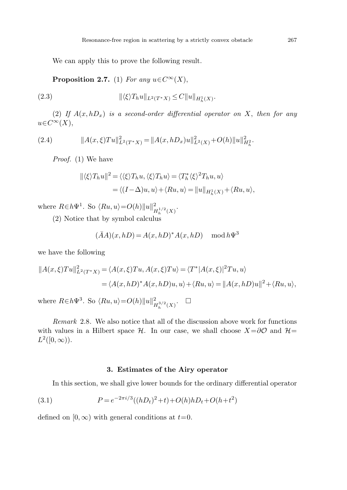<span id="page-10-3"></span>We can apply this to prove the following result.

**Proposition 2.7.** (1) For any  $u \in C^{\infty}(X)$ ,

<span id="page-10-2"></span>(2.3) 
$$
\|\langle \xi \rangle T_h u\|_{L^2(T^*X)} \leq C \|u\|_{H^1_h(X)}.
$$

(2) If  $A(x, hD_x)$  is a second-order differential operator on X, then for any  $u\in C^{\infty}(X),$ 

(2.4) 
$$
||A(x,\xi)Tu||_{L^2(T^*X)}^2 = ||A(x,hD_x)u||_{L^2(X)}^2 + O(h)||u||_{H_h^2}^2.
$$

Proof. (1) We have

$$
\begin{aligned} ||\langle \xi \rangle T_h u||^2 &= \langle \langle \xi \rangle T_h u, \langle \xi \rangle T_h u \rangle = \langle T_h^* \langle \xi \rangle^2 T_h u, u \rangle \\ &= \langle (I - \Delta)u, u \rangle + \langle Ru, u \rangle = ||u||_{H_h^1(X)} + \langle Ru, u \rangle, \end{aligned}
$$

where  $R \in h\Psi^1$ . So  $\langle Ru, u \rangle = O(h) \|u\|_{H_h^{1/2}(X)}^2$ .

(2) Notice that by symbol calculus

$$
(\bar{A}A)(x,hD) = A(x,hD)^*A(x,hD) \mod h\Psi^3
$$

we have the following

$$
||A(x,\xi)Tu||_{L^{2}(T^{*}X)}^{2} = \langle A(x,\xi)Tu, A(x,\xi)Tu\rangle = \langle T^{*}|A(x,\xi)|^{2}Tu, u\rangle
$$
  
=  $\langle A(x,hD)^{*}A(x,hD)u, u\rangle + \langle Ru, u\rangle = ||A(x,hD)u||^{2} + \langle Ru, u\rangle,$ 

where  $R \in h\Psi^3$ . So  $\langle Ru, u \rangle = O(h) ||u||^2_{H_h^{3/2}(X)}$ .  $\Box$ 

<span id="page-10-1"></span><span id="page-10-0"></span>Remark 2.8. We also notice that all of the discussion above work for functions with values in a Hilbert space H. In our case, we shall choose  $X=\partial\mathcal{O}$  and  $H=$  $L^2([0,\infty))$ .

#### **3. Estimates of the Airy operator**

In this section, we shall give lower bounds for the ordinary differential operator

(3.1) 
$$
P = e^{-2\pi i/3}((hD_t)^2 + t) + O(h)hD_t + O(h + t^2)
$$

defined on  $[0, \infty)$  with general conditions at  $t=0$ .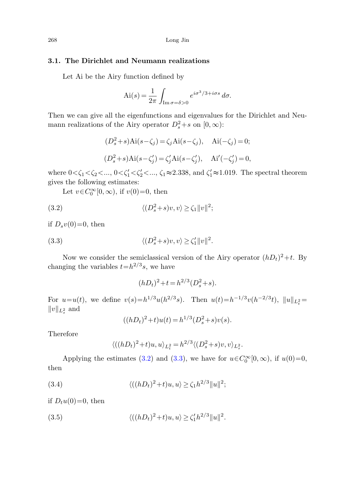### <span id="page-11-4"></span>**3.1. The Dirichlet and Neumann realizations**

Let Ai be the Airy function defined by

$$
\text{Ai}(s) = \frac{1}{2\pi} \int_{\text{Im}\,\sigma = \delta > 0} e^{i\sigma^3/3 + i\sigma s} \, d\sigma.
$$

<span id="page-11-0"></span>Then we can give all the eigenfunctions and eigenvalues for the Dirichlet and Neumann realizations of the Airy operator  $D_s^2 + s$  on  $[0, \infty)$ :

$$
(D_s^2 + s)Ai(s - \zeta_j) = \zeta_j Ai(s - \zeta_j), \quad Ai(-\zeta_j) = 0;
$$
  

$$
(D_s^2 + s)Ai(s - \zeta_j') = \zeta_j' Ai(s - \zeta_j'), \quad Ai'(-\zeta_j') = 0,
$$

<span id="page-11-1"></span>where  $0<\zeta_1<\zeta_2<...$ ,  $0<\zeta_1'<\zeta_2'<...$ ,  $\zeta_1\approx 2.338$ , and  $\zeta_1'\approx 1.019$ . The spectral theorem gives the following estimates:

Let  $v \in C_0^{\infty}[0, \infty)$ , if  $v(0)=0$ , then

(3.2) 
$$
\langle (D_s^2 + s)v, v \rangle \ge \zeta_1 ||v||^2;
$$

if  $D_s v(0)=0$ , then

(3.3) 
$$
\langle (D_s^2 + s)v, v \rangle \ge \zeta_1' ||v||^2.
$$

Now we consider the semiclassical version of the Airy operator  $(hD_t)^2+t$ . By changing the variables  $t=h^{2/3}s$ , we have

$$
(hD_t)^2 + t = h^{2/3}(D_s^2 + s).
$$

For  $u=u(t)$ , we define  $v(s)=h^{1/3}u(h^{2/3}s)$ . Then  $u(t)=h^{-1/3}v(h^{-2/3}t)$ ,  $||u||_{L_t^2} =$  $||v||_{L_s^2}$  and

$$
((hDt)2 + t)u(t) = h1/3(Ds2 + s)v(s).
$$

<span id="page-11-2"></span>Therefore

$$
\langle ((hD_t)^2 + t)u, u \rangle_{L_t^2} = h^{2/3} \langle (D_s^2 + s)v, v \rangle_{L_s^2}.
$$

<span id="page-11-3"></span>Applying the estimates ([3.2](#page-11-0)) and [\(3.3\)](#page-11-1), we have for  $u \in C_0^{\infty}[0, \infty)$ , if  $u(0)=0$ , then

(3.4) 
$$
\langle ((hD_t)^2 + t)u, u \rangle \ge \zeta_1 h^{2/3} ||u||^2;
$$

if  $D_t u(0)=0$ , then

(3.5) 
$$
\langle ((hD_t)^2 + t)u, u \rangle \ge \zeta_1'h^{2/3}||u||^2.
$$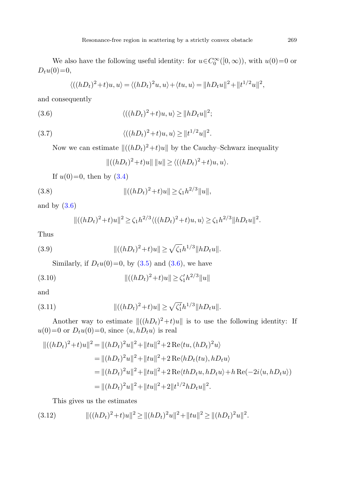<span id="page-12-2"></span><span id="page-12-0"></span>We also have the following useful identity: for  $u \in C_0^{\infty}([0, \infty))$ , with  $u(0)=0$  or  $D_t u(0) = 0,$ 

$$
\langle ((hD_t)^2 + t)u, u \rangle = \langle (hD_t)^2u, u \rangle + \langle tu, u \rangle = ||hD_t u||^2 + ||t^{1/2}u||^2,
$$

and consequently

(3.6) 
$$
\langle ((hD_t)^2 + t)u, u \rangle \ge ||hD_t u||^2;
$$

(3.7) 
$$
\langle ((hD_t)^2 + t)u, u \rangle \ge ||t^{1/2}u||^2.
$$

Now we can estimate  $||((hD_t)^2+t)u||$  by the Cauchy–Schwarz inequality

$$
||((hD_t)^2+t)u|| \, ||u|| \ge \langle ((hD_t)^2+t)u, u \rangle.
$$

If  $u(0)=0$ , then by  $(3.4)$  $(3.4)$ 

(3.8) 
$$
\|((hD_t)^2 + t)u\| \ge \zeta_1 h^{2/3} \|u\|,
$$

and by  $(3.6)$  $(3.6)$  $(3.6)$ 

$$
||((hD_t)^2+t)u||^2 \ge \zeta_1 h^{2/3} \langle ((hD_t)^2+t)u, u \rangle \ge \zeta_1 h^{2/3} ||hD_t u||^2.
$$

Thus

(3.9) 
$$
\|((hD_t)^2 + t)u\| \ge \sqrt{\zeta_1}h^{1/3}\|hD_t u\|.
$$

Similarly, if  $D_tu(0)=0$ , by  $(3.5)$  $(3.5)$  and  $(3.6)$  $(3.6)$  $(3.6)$ , we have

(3.10) 
$$
\|((hD_t)^2 + t)u\| \ge \zeta_1'h^{2/3}\|u\|
$$

and

(3.11) 
$$
\|((hD_t)^2 + t)u\| \ge \sqrt{\zeta_1'}h^{1/3}\|hD_t u\|.
$$

Another way to estimate  $||(hD_t)^2+t)u||$  is to use the following identity: If  $u(0)=0$  or  $D_t u(0)=0$ , since  $\langle u, hD_t u \rangle$  is real

<span id="page-12-1"></span>
$$
\begin{aligned} ||((hD_t)^2 + t)u||^2 &= ||(hD_t)^2u||^2 + ||tu||^2 + 2\operatorname{Re}\langle tu, (hD_t)^2u\rangle \\ &= ||(hD_t)^2u||^2 + ||tu||^2 + 2\operatorname{Re}\langle hD_t(tu), hD_tu\rangle \\ &= ||(hD_t)^2u||^2 + ||tu||^2 + 2\operatorname{Re}\langle thD_tu, hD_tu\rangle + h\operatorname{Re}(-2i\langle u, hD_tu\rangle) \\ &= ||(hD_t)^2u||^2 + ||tu||^2 + 2||t^{1/2}hD_tu||^2. \end{aligned}
$$

This gives us the estimates

(3.12) ((hDt) <sup>2</sup>+t)u<sup>2</sup> ≥ (hDt) <sup>2</sup>u<sup>2</sup>+tu<sup>2</sup> ≥ (hDt) <sup>2</sup>u<sup>2</sup>.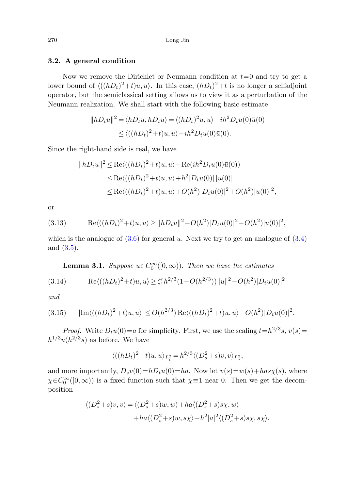### **3.2. A general condition**

Now we remove the Dirichlet or Neumann condition at  $t=0$  and try to get a lower bound of  $\langle ((hD_t)^2+t)u, u \rangle$ . In this case,  $(hD_t)^2+t$  is no longer a selfadjoint operator, but the semiclassical setting allows us to view it as a perturbation of the Neumann realization. We shall start with the following basic estimate

$$
||hD_t u||^2 = \langle hD_t u, hD_t u \rangle = \langle (hD_t)^2 u, u \rangle - ih^2 D_t u(0)\overline{u}(0)
$$
  

$$
\le \langle ((hD_t)^2 + t)u, u \rangle - ih^2 D_t u(0)\overline{u}(0).
$$

<span id="page-13-2"></span>Since the right-hand side is real, we have

$$
||hD_tu||^2 \le \text{Re}\langle ((hD_t)^2 + t)u, u \rangle - \text{Re}(ih^2D_tu(0)\bar{u}(0))
$$
  
\n
$$
\le \text{Re}\langle ((hD_t)^2 + t)u, u \rangle + h^2|D_tu(0)||u(0)|
$$
  
\n
$$
\le \text{Re}\langle ((hD_t)^2 + t)u, u \rangle + O(h^2)|D_tu(0)|^2 + O(h^2)|u(0)|^2,
$$

<span id="page-13-0"></span>or

(3.13) 
$$
\operatorname{Re}\langle((hD_t)^2+t)u,u\rangle \ge ||hD_t u||^2 - O(h^2)|D_t u(0)|^2 - O(h^2)|u(0)|^2,
$$

<span id="page-13-1"></span>which is the analogue of  $(3.6)$  $(3.6)$  for general u. Next we try to get an analogue of  $(3.4)$ and ([3.5\)](#page-11-3).

**Lemma 3.1.** Suppose  $u \in C_0^{\infty}([0,\infty))$ . Then we have the estimates

$$
(3.14) \qquad \text{Re}\langle ((hD_t)^2 + t)u, u \rangle \ge \zeta_1' h^{2/3} (1 - O(h^{2/3})) ||u||^2 - O(h^2) |D_t u(0)|^2
$$

and

$$
(3.15) \qquad |\text{Im}\langle ((hD_t)^2 + t)u, u \rangle| \le O(h^{2/3}) \operatorname{Re}\langle ((hD_t)^2 + t)u, u \rangle + O(h^2)|D_t u(0)|^2.
$$

*Proof.* Write  $D_t u(0) = a$  for simplicity. First, we use the scaling  $t = h^{2/3} s$ ,  $v(s) =$  $h^{1/3}u(h^{2/3}s)$  as before. We have

$$
\langle ((hD_t)^2 + t)u, u \rangle_{L_t^2} = h^{2/3} \langle (D_s^2 + s)v, v \rangle_{L_s^2},
$$

and more importantly,  $D_s v(0) = hD_t u(0) = ha$ . Now let  $v(s) = w(s) + has\chi(s)$ , where  $\chi \in C_0^{\infty}([0,\infty))$  is a fixed function such that  $\chi \equiv 1$  near 0. Then we get the decomposition

$$
\langle (D_s^2 + s)v, v \rangle = \langle (D_s^2 + s)w, w \rangle + ha \langle (D_s^2 + s)s\chi, w \rangle
$$

$$
+ h\bar{a} \langle (D_s^2 + s)w, s\chi \rangle + h^2 |a|^2 \langle (D_s^2 + s)s\chi, s\chi \rangle
$$

.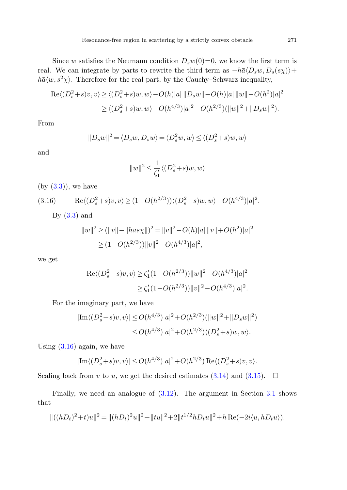Since w satisfies the Neumann condition  $D_s w(0) = 0$ , we know the first term is real. We can integrate by parts to rewrite the third term as  $-h\bar{a}\langle D_s w, D_s(s\chi)\rangle +$  $h\bar{\alpha}\langle w, s^2\chi\rangle$ . Therefore for the real part, by the Cauchy–Schwarz inequality,

$$
\operatorname{Re}\langle (D_s^2+s)v, v \rangle \ge \langle (D_s^2+s)w, w \rangle - O(h)|a| \|D_s w\| - O(h)|a| \|w\| - O(h^2)|a|^2
$$
  
 
$$
\ge \langle (D_s^2+s)w, w \rangle - O(h^{4/3})|a|^2 - O(h^{2/3})(\|w\|^2 + \|D_s w\|^2).
$$

<span id="page-14-0"></span>From

$$
||D_s w||^2 = \langle D_s w, D_s w \rangle = \langle D_s^2 w, w \rangle \le \langle (D_s^2 + s) w, w \rangle
$$

and

$$
||w||^2 \le \frac{1}{\zeta_1'} \langle (D_s^2 + s)w, w \rangle
$$

 $(by (3.3))$  $(by (3.3))$  $(by (3.3))$ , we have

$$
(3.16) \qquad \text{Re}\langle (D_s^2+s)v, v \rangle \ge (1 - O(h^{2/3})) \langle (D_s^2+s)w, w \rangle - O(h^{4/3})|a|^2.
$$

By  $(3.3)$  $(3.3)$  $(3.3)$  and

$$
||w||^2 \ge (||v|| - ||has \chi||)^2 = ||v||^2 - O(h)|a| ||v|| + O(h^2)|a|^2
$$
  
\n
$$
\ge (1 - O(h^{2/3})) ||v||^2 - O(h^{4/3})|a|^2,
$$

we get

$$
\begin{aligned} \operatorname{Re}\langle (D_s^2 + s)v, v \rangle &\ge \zeta_1' (1 - O(h^{2/3})) \|w\|^2 - O(h^{4/3}) |a|^2 \\ &\ge \zeta_1' (1 - O(h^{2/3})) \|v\|^2 - O(h^{4/3}) |a|^2. \end{aligned}
$$

For the imaginary part, we have

$$
|\text{Im}\langle (D_s^2+s)v, v \rangle| \le O(h^{4/3})|a|^2 + O(h^{2/3})(\|w\|^2 + \|D_s w\|^2)
$$
  

$$
\le O(h^{4/3})|a|^2 + O(h^{2/3})\langle (D_s^2+s)w, w \rangle.
$$

Using  $(3.16)$  $(3.16)$  again, we have

$$
|\text{Im}\langle (D_s^2+s)v, v \rangle| \le O(h^{4/3})|a|^2 + O(h^{2/3}) \text{Re}\langle (D_s^2+s)v, v \rangle.
$$

Scaling back from v to u, we get the desired estimates [\(3.14](#page-13-0)) and ([3.15](#page-13-1)).  $\Box$ 

Finally, we need an analogue of ([3.12](#page-12-1)). The argument in Section [3.1](#page-11-4) shows that

$$
\|((hD_t)^2 + t)u\|^2 = \|(hD_t)^2u\|^2 + \|tu\|^2 + 2\|t^{1/2}hD_tu\|^2 + h\operatorname{Re}(-2i\langle u, hD_tu\rangle).
$$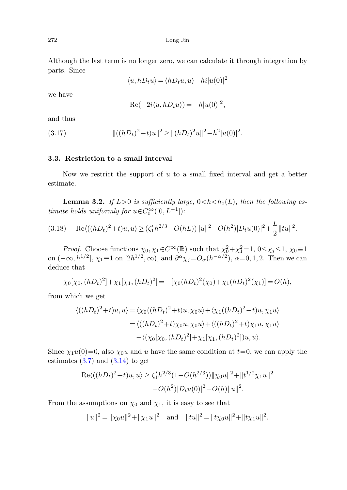<span id="page-15-1"></span>Although the last term is no longer zero, we can calculate it through integration by parts. Since

$$
\langle u, hD_t u \rangle = \langle hD_t u, u \rangle - hi |u(0)|^2
$$

we have

$$
Re(-2i\langle u, hD_t u \rangle) = -h|u(0)|^2,
$$

and thus

(3.17) 
$$
\|((hD_t)^2 + t)u\|^2 \geq \|(hD_t)^2u\|^2 - h^2|u(0)|^2.
$$

#### <span id="page-15-0"></span>**3.3. Restriction to a small interval**

Now we restrict the support of  $u$  to a small fixed interval and get a better estimate.

**Lemma 3.2.** If  $L>0$  is sufficiently large,  $0 < h < h_0(L)$ , then the following estimate holds uniformly for  $u \in C_0^{\infty}([0, L^{-1}])$ :

$$
(3.18)\qquad\text{Re}\langle((hD_t)^2+t)u,u\rangle\geq(\zeta_1'h^{2/3}-O(hL))\|u\|^2-O(h^2)|D_tu(0)|^2+\frac{L}{2}\|tu\|^2.
$$

*Proof.* Choose functions  $\chi_0, \chi_1 \in C^\infty(\mathbb{R})$  such that  $\chi_0^2 + \chi_1^2 = 1$ ,  $0 \leq \chi_j \leq 1$ ,  $\chi_0 \equiv 1$ on  $(-\infty, h^{1/2}]$ ,  $\chi_1 \equiv 1$  on  $[2h^{1/2}, \infty)$ , and  $\partial^{\alpha}\chi_j = O_{\alpha}(h^{-\alpha/2})$ ,  $\alpha = 0, 1, 2$ . Then we can deduce that

$$
\chi_0[\chi_0,(hD_t)^2]+\chi_1[\chi_1,(hD_t)^2]=-\left[\chi_0(hD_t)^2(\chi_0)+\chi_1(hD_t)^2(\chi_1)\right]=O(h),
$$

from which we get

$$
\langle ((hD_t)^2 + t)u, u \rangle = \langle \chi_0((hD_t)^2 + t)u, \chi_0 u \rangle + \langle \chi_1((hD_t)^2 + t)u, \chi_1 u \rangle
$$
  
= 
$$
\langle ((hD_t)^2 + t) \chi_0 u, \chi_0 u \rangle + \langle ((hD_t)^2 + t) \chi_1 u, \chi_1 u \rangle
$$
  
- 
$$
\langle (\chi_0[\chi_0, (hD_t)^2] + \chi_1[\chi_1, (hD_t)^2])u, u \rangle.
$$

Since  $\chi_1u(0)=0$ , also  $\chi_0u$  and u have the same condition at  $t=0$ , we can apply the estimates  $(3.7)$  $(3.7)$  and  $(3.14)$  $(3.14)$  $(3.14)$  to get

$$
Re\langle ((hD_t)^2 + t)u, u \rangle \ge \zeta_1' h^{2/3} (1 - O(h^{2/3})) ||\chi_0 u||^2 + ||t^{1/2}\chi_1 u||^2
$$
  
- O(h<sup>2</sup>)|D<sub>t</sub>u(0)|<sup>2</sup> - O(h)||u||<sup>2</sup>.

From the assumptions on  $\chi_0$  and  $\chi_1$ , it is easy to see that

$$
||u||^2 = ||\chi_0 u||^2 + ||\chi_1 u||^2
$$
 and  $||tu||^2 = ||t\chi_0 u||^2 + ||t\chi_1 u||^2$ .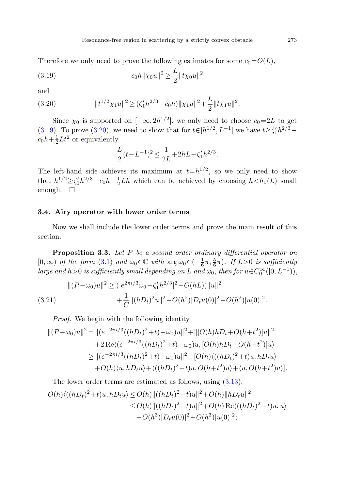<span id="page-16-1"></span><span id="page-16-0"></span>Therefore we only need to prove the following estimates for some  $c_0=O(L)$ ,

(3.19) 
$$
c_0 h ||\chi_0 u||^2 \ge \frac{L}{2} ||t \chi_0 u||^2
$$

and

$$
(3.20) \t\t\t\t\t||t^{1/2}\chi_1u||^2 \geq (\zeta_1'h^{2/3} - c_0h)\|\chi_1u\|^2 + \frac{L}{2}\|t\chi_1u\|^2.
$$

Since  $\chi_0$  is supported on  $[-\infty, 2h^{1/2}]$ , we only need to choose  $c_0=2L$  to get [\(3.19](#page-16-0)). To prove ([3.20\)](#page-16-1), we need to show that for  $t \in [h^{1/2}, L^{-1}]$  we have  $t \ge \zeta_1' h^{2/3}$  $c_0h + \frac{1}{2}Lt^2$  or equivalently

<span id="page-16-2"></span>
$$
\frac{L}{2}(t - L^{-1})^2 \le \frac{1}{2L} + 2hL - \zeta_1'h^{2/3}.
$$

The left-hand side achieves its maximum at  $t=h^{1/2}$ , so we only need to show that  $h^{1/2} \ge \zeta_1' h^{2/3} - c_0 h + \frac{1}{2} L h$  which can be achieved by choosing  $h < h_0(L)$  small enough.  $\square$ 

#### **3.4. Airy operator with lower order terms**

Now we shall include the lower order terms and prove the main result of this section.

**Proposition 3***.***3.** Let P be a second order ordinary differential operator on  $[0, \infty)$  of the form [\(3.1\)](#page-10-1) and  $\omega_0 \in \mathbb{C}$  with  $\arg \omega_0 \in (-\frac{1}{6}\pi, \frac{5}{6}\pi)$ . If  $L > 0$  is sufficiently large and h>0 is sufficiently small depending on L and  $\omega_0$ , then for  $u \in C_0^{\infty}([0, L^{-1}))$ ,

$$
||(P - \omega_0)u||^2 \ge (|e^{2\pi i/3}\omega_0 - \zeta_1'h^{2/3}|^2 - O(hL))||u||^2
$$
  
(3.21) 
$$
+ \frac{1}{C}||(hD_t)^2u||^2 - O(h^2)|D_tu(0)|^2 - O(h^2)|u(0)|^2.
$$

Proof. We begin with the following identity

$$
||(P - \omega_0)u||^2 = ||(e^{-2\pi i/3}((hD_t)^2 + t) - \omega_0)u||^2 + ||[O(h)hD_t + O(h + t^2)]u||^2
$$
  
+2 Re $\langle (e^{-2\pi i/3}((hD_t)^2 + t) - \omega_0)u, [O(h)hD_t + O(h + t^2)]u \rangle$   

$$
\ge ||(e^{-2\pi i/3}((hD_t)^2 + t) - \omega_0)u||^2 - [O(h)\langle ((hD_t)^2 + t)u, hD_t u \rangle
$$
  
+O(h) $\langle u, hD_t u \rangle + \langle ((hD_t)^2 + t)u, O(h + t^2)u \rangle + \langle u, O(h + t^2)u \rangle].$ 

The lower order terms are estimated as follows, using [\(3.13\)](#page-13-2),

$$
O(h)\langle ((hD_t)^2+t)u, hD_t u \rangle \le O(h) ||((hD_t)^2+t)u||^2 + O(h) ||hD_t u||^2
$$
  
\n
$$
\le O(h) ||((hD_t)^2+t)u||^2 + O(h) \operatorname{Re}\langle ((hD_t)^2+t)u, u \rangle
$$
  
\n
$$
+ O(h^3) |D_t u(0)|^2 + O(h^3) |u(0)|^2;
$$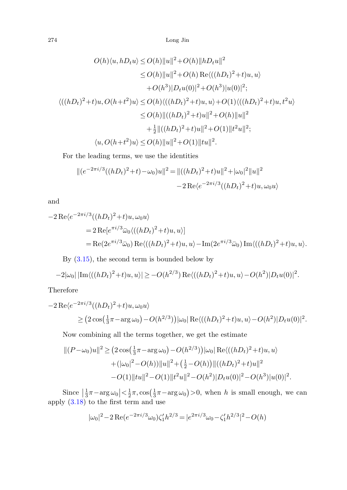$$
O(h)\langle u, hD_t u \rangle \le O(h) ||u||^2 + O(h) ||hD_t u||^2
$$
  
\n
$$
\le O(h) ||u||^2 + O(h) \operatorname{Re}\langle ((hD_t)^2 + t)u, u \rangle
$$
  
\n
$$
+ O(h^3) |D_t u(0)|^2 + O(h^3) |u(0)|^2;
$$
  
\n
$$
\langle ((hD_t)^2 + t)u, O(h + t^2)u \rangle \le O(h) \langle ((hD_t)^2 + t)u, u \rangle + O(1) \langle ((hD_t)^2 + t)u, t^2u \rangle
$$
  
\n
$$
\le O(h) ||((hD_t)^2 + t)u||^2 + O(h) ||u||^2
$$
  
\n
$$
+ \frac{1}{2} ||((hD_t)^2 + t)u||^2 + O(1) ||t^2u||^2;
$$
  
\n
$$
\langle u, O(h + t^2)u \rangle \le O(h) ||u||^2 + O(1) ||tu||^2.
$$
  
\nFor the leading terms, we use the identities  
\n
$$
||(e^{-2\pi i/3}((hD_t)^2 + t) - \omega_0)u||^2 = ||((hD_t)^2 + t)u||^2 + |\omega_0|^2 ||u||^2
$$
  
\n
$$
-2 \operatorname{Re}\langle e^{-2\pi i/3}((hD_t)^2 + t)u, \omega_0 u \rangle
$$
  
\n
$$
= 2 \operatorname{Re}\langle e^{-2\pi i/3}\overline{\omega_0}\langle ((hD_t)^2 + t)u, u \rangle]
$$

For the leading terms, we use the identities

$$
||(e^{-2\pi i/3}((hD_t)^2+t)-\omega_0)u||^2 = ||((hD_t)^2+t)u||^2+|\omega_0|^2||u||^2
$$
  

$$
-2\operatorname{Re}\langle e^{-2\pi i/3}((hD_t)^2+t)u,\omega_0u\rangle
$$

and

$$
+ \frac{1}{2} ||((hD_t)^2 + t)u||^2 + O(1)||t^2u||^2;
$$
  
\n
$$
\langle u, O(h+t^2)u \rangle \le O(h) ||u||^2 + O(1)||tu||^2.
$$
  
\nFor the leading terms, we use the identities  
\n
$$
||(e^{-2\pi i/3}((hD_t)^2 + t) - \omega_0)u||^2 = ||((hD_t)^2 + t)u||^2 + |\omega_0|^2||u||^2
$$
\n
$$
-2 \operatorname{Re} \langle e^{-2\pi i/3}((hD_t)^2 + t)u, \omega_0 u \rangle
$$
  
\nand  
\n
$$
-2 \operatorname{Re} \langle e^{-2\pi i/3}((hD_t)^2 + t)u, \omega_0 u \rangle
$$
  
\n
$$
= 2 \operatorname{Re} [e^{\pi i/3} \bar{\omega}_0 \langle ((hD_t)^2 + t)u, u \rangle]
$$
  
\n
$$
= \operatorname{Re} (2e^{\pi i/3} \bar{\omega}_0) \operatorname{Re} \langle ((hD_t)^2 + t)u, u \rangle - \operatorname{Im} (2e^{\pi i/3} \bar{\omega}_0) \operatorname{Im} \langle ((hD_t)^2 + t)u, u \rangle.
$$

By ([3.15](#page-13-1)), the second term is bounded below by

$$
-2|\omega_0| |\text{Im}\langle ((hD_t)^2+t)u, u \rangle| \geq -O(h^{2/3}) \text{Re}\langle ((hD_t)^2+t)u, u \rangle - O(h^2)|D_t u(0)|^2.
$$

Therefore

$$
-2 \operatorname{Re} \langle e^{-2\pi i/3} ((hD_t)^2 + t)u, \omega_0 u \rangle
$$
  
 
$$
\geq (2 \cos(\frac{1}{3}\pi - \arg \omega_0) - O(h^{2/3})) |\omega_0| \operatorname{Re} \langle ((hD_t)^2 + t)u, u \rangle - O(h^2) |D_t u(0)|^2.
$$

Now combining all the terms together, we get the estimate

$$
||(P - \omega_0)u||^2 \ge (2\cos(\frac{1}{3}\pi - \arg \omega_0) - O(h^{2/3}))|\omega_0| \operatorname{Re}\langle ((hD_t)^2 + t)u, u \rangle
$$
  
+ 
$$
+(\omega_0|^2 - O(h))||u||^2 + (\frac{1}{2} - O(h)) ||((hD_t)^2 + t)u||^2
$$
  
- 
$$
O(1)||tu||^2 - O(1)||t^2u||^2 - O(h^2)|D_tu(0)|^2 - O(h^3)|u(0)|^2.
$$

Since  $\left|\frac{1}{3}\pi - \arg \omega_0\right| < \frac{1}{2}\pi$ ,  $\cos \left(\frac{1}{3}\pi - \arg \omega_0\right) > 0$ , when h is small enough, we can apply [\(3.18\)](#page-15-0) to the first term and use

$$
|\omega_0|^2 - 2 \operatorname{Re}(e^{-2\pi i/3}\omega_0)\zeta_1' h^{2/3} = |e^{2\pi i/3}\omega_0 - \zeta_1' h^{2/3}|^2 - O(h)
$$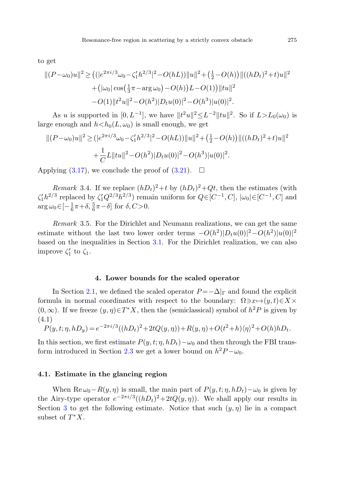to get

$$
||(P - \omega_0)u||^2 \ge ((|e^{2\pi i/3}\omega_0 - \zeta_1'h^{2/3}|^2 - O(hL))||u||^2 + (\frac{1}{2} - O(h))||((hD_t)^2 + t)u||^2
$$
  
+ 
$$
(|\omega_0|\cos(\frac{1}{3}\pi - \arg \omega_0) - O(h))L - O(1)||tu||^2
$$
  
- 
$$
O(1)||t^2u||^2 - O(h^2)|D_tu(0)|^2 - O(h^3)|u(0)|^2.
$$

As u is supported in  $[0, L^{-1}]$ , we have  $||t^2u||^2 \leq L^{-2} ||tu||^2$ . So if  $L>L_0(\omega_0)$  is large enough and  $h < h_0(L, \omega_0)$  is small enough, we get

$$
||(P - \omega_0)u||^2 \ge (|e^{2\pi i/3}\omega_0 - \zeta_1'h^{2/3}|^2 - O(hL))||u||^2 + (\frac{1}{2} - O(h))||((hD_t)^2 + t)u||^2
$$
  
+ 
$$
\frac{1}{C}L||tu||^2 - O(h^2)|D_tu(0)|^2 - O(h^3)|u(0)|^2.
$$

Applying ([3.17](#page-15-1)), we conclude the proof of [\(3.21\)](#page-16-2).  $\Box$ 

Remark 3.4. If we replace  $(hD_t)^2 + t$  by  $(hD_t)^2 + Qt$ , then the estimates (with  $\zeta_1'h^{2/3}$  replaced by  $\zeta_1'Q^{2/3}h^{2/3}$ ) remain uniform for  $Q \in [C^{-1}, C]$ ,  $|\omega_0| \in [C^{-1}, C]$  and  $\arg \omega_0 \in [-\frac{1}{6}\pi + \delta, \frac{5}{6}\pi - \delta]$  for  $\delta, C > 0$ .

<span id="page-18-0"></span>Remark 3.5. For the Dirichlet and Neumann realizations, we can get the same estimate without the last two lower order terms  $-O(h^2)|D_tu(0)|^2-O(h^2)|u(0)|^2$ based on the inequalities in Section [3.1.](#page-11-4) For the Dirichlet realization, we can also improve  $\zeta_1'$  to  $\zeta_1$ .

#### **4. Lower bounds for the scaled operator**

In Section [2.1](#page-3-0), we defined the scaled operator  $P = -\Delta|_{\Gamma}$  and found the explicit formula in normal coordinates with respect to the boundary:  $\Omega \ni x \mapsto (y, t) \in X \times$  $(0, \infty)$ . If we freeze  $(y, \eta) \in T^*X$ , then the (semiclassical) symbol of  $h^2 P$  is given by (4.1)

$$
P(y, t; \eta, hD_y) = e^{-2\pi i/3}((hD_t)^2 + 2tQ(y, \eta)) + R(y, \eta) + O(t^2 + h)\langle \eta \rangle^2 + O(h)hD_t.
$$

In this section, we first estimate  $P(y, t; \eta, hD_t) - \omega_0$  and then through the FBI trans-form introduced in Section [2.3](#page-7-0) we get a lower bound on  $h^2 P - \omega_0$ .

#### **4.1. Estimate in the glancing region**

When Re  $\omega_0-R(y,\eta)$  is small, the main part of  $P(y,t;\eta,hD_t)-\omega_0$  is given by the Airy-type operator  $e^{-2\pi i/3}((hD_t)^2+2tQ(y,\eta))$ . We shall apply our results in Section [3](#page-10-0) to get the following estimate. Notice that such  $(y, \eta)$  lie in a compact subset of  $T^*X$ .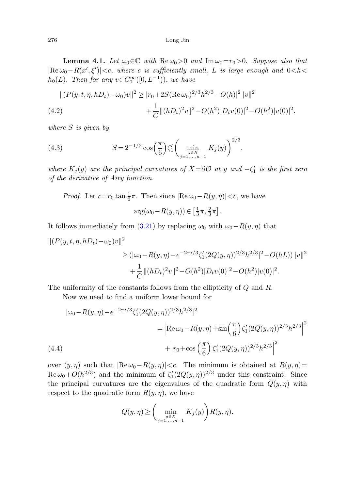**Lemma 4.1.** Let  $\omega_0 \in \mathbb{C}$  with  $\text{Re}\,\omega_0 > 0$  and  $\text{Im}\,\omega_0 = r_0 > 0$ . Suppose also that  $|\text{Re}\,\omega_0 - R(x',\xi')| < c$ , where c is sufficiently small, L is large enough and  $0 < h <$  $h_0(L)$ . Then for any  $v \in C_0^{\infty}([0, L^{-1}))$ , we have

$$
||(P(y,t,\eta,hD_t) - \omega_0)v||^2 \ge |r_0 + 2S(\text{Re}\,\omega_0)^{2/3}h^{2/3} - O(h)|^2||v||^2
$$
  
(4.2) 
$$
+ \frac{1}{C}||(hD_t)^2v||^2 - O(h^2)|D_t v(0)|^2 - O(h^2)|v(0)|^2,
$$

where S is given by

(4.3) 
$$
S = 2^{-1/3} \cos\left(\frac{\pi}{6}\right) \zeta_1' \left( \min_{\substack{y \in X \\ j=1,\dots,n-1}} K_j(y) \right)^{2/3},
$$

where  $K_j(y)$  are the principal curvatures of  $X = \partial\mathcal{O}$  at y and  $-\zeta_1'$  is the first zero of the derivative of Airy function.

*Proof.* Let  $c=r_0 \tan \frac{1}{6}\pi$ . Then since  $|\text{Re } \omega_0 - R(y, \eta)| < c$ , we have  $\arg(\omega_0 - R(y, \eta)) \in \left[\frac{1}{3}\pi, \frac{2}{3}\pi\right].$ 

It follows immediately from [\(3.21](#page-16-2)) by replacing  $\omega_0$  with  $\omega_0-R(y,\eta)$  that

$$
||(P(y,t,\eta,hD_t)-\omega_0)v||^2
$$
  
\n
$$
\geq (|\omega_0-R(y,\eta)-e^{-2\pi i/3}\zeta_1'(2Q(y,\eta))^{2/3}h^{2/3}|^2 - O(hL))||v||^2
$$
  
\n
$$
+\frac{1}{C}||(hD_t)^2v||^2 - O(h^2)|D_t v(0)|^2 - O(h^2)|v(0)|^2.
$$

The uniformity of the constants follows from the ellipticity of Q and R.

Now we need to find a uniform lower bound for

$$
|\omega_0 - R(y, \eta) - e^{-2\pi i/3} \zeta_1'(2Q(y, \eta))^{2/3} h^{2/3}|^2
$$
  
= 
$$
\left| \text{Re}\,\omega_0 - R(y, \eta) + \sin\left(\frac{\pi}{6}\right) \zeta_1'(2Q(y, \eta))^{2/3} h^{2/3} \right|^2
$$
  
(4.4)  

$$
+ \left| r_0 + \cos\left(\frac{\pi}{6}\right) \zeta_1'(2Q(y, \eta))^{2/3} h^{2/3} \right|^2
$$

over  $(y, \eta)$  such that  $|\text{Re}\,\omega_0 - R(y, \eta)| < c$ . The minimum is obtained at  $R(y, \eta) =$  $\text{Re}\,\omega_0+O(h^{2/3})$  and the minimum of  $\zeta_1'(2Q(y,\eta))^{2/3}$  under this constraint. Since the principal curvatures are the eigenvalues of the quadratic form  $Q(y, \eta)$  with respect to the quadratic form  $R(y, \eta)$ , we have

<span id="page-19-0"></span>
$$
Q(y, \eta) \ge \bigg(\min_{\substack{y \in X \\ j=1,\dots,n-1}} K_j(y)\bigg) R(y, \eta).
$$

<span id="page-19-1"></span>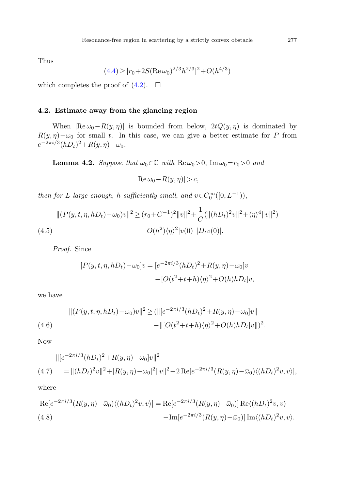Thus

$$
(4.4) \ge |r_0 + 2S(\text{Re}\,\omega_0)^{2/3}h^{2/3}|^2 + O(h^{4/3})
$$

which completes the proof of  $(4.2)$ .  $\Box$ 

### **4.2. Estimate away from the glancing region**

When  $|{\rm Re}\,\omega_0-R(y,\eta)|$  is bounded from below,  $2tQ(y,\eta)$  is dominated by  $R(y, \eta) - \omega_0$  for small t. In this case, we can give a better estimate for P from  $e^{-2\pi i/3} (hD_t)^2 + R(y,\eta) - \omega_0.$ 

**Lemma 4.2.** Suppose that  $\omega_0 \in \mathbb{C}$  with  $\text{Re}\,\omega_0 > 0$ ,  $\text{Im}\,\omega_0 = r_0 > 0$  and

<span id="page-20-0"></span>
$$
|\text{Re}\,\omega_0 - R(y,\eta)| > c,
$$

<span id="page-20-3"></span>then for L large enough, h sufficiently small, and  $v \in C_0^{\infty}([0, L^{-1})),$ 

$$
||(P(y,t,\eta,hD_t) - \omega_0)v||^2 \ge (r_0 + C^{-1})^2 ||v||^2 + \frac{1}{C} (||(hD_t)^2 v||^2 + \langle \eta \rangle^4 ||v||^2)
$$
  
(4.5)  

$$
-O(h^2)\langle \eta \rangle^2 |v(0)||D_t v(0)|.
$$

Proof. Since

<span id="page-20-1"></span>
$$
[P(y, t, \eta, hD_t) - \omega_0]v = [e^{-2\pi i/3}(hD_t)^2 + R(y, \eta) - \omega_0]v
$$

$$
+ [O(t^2 + t + h)\langle \eta \rangle^2 + O(h)hD_t]v,
$$

we have

$$
||(P(y, t, \eta, hD_t) - \omega_0)v||^2 \ge (||(e^{-2\pi i/3}(hD_t)^2 + R(y, \eta) - \omega_0)v||
$$
  
(4.6)
$$
-||(O(t^2 + t + h)\langle \eta \rangle^2 + O(h)hD_t)v||^2.
$$

Now

<span id="page-20-2"></span>*Proof.* Since  
\n
$$
[P(y, t, \eta, hD_t) - \omega_0]v = [e^{-2\pi i/3}(hD_t)^2 + R(y, \eta) - \omega_0]v
$$
\n
$$
+ [O(t^2 + t + h)\langle \eta \rangle^2 + O(h)hD_t]v,
$$
\nwe have  
\n
$$
||(P(y, t, \eta, hD_t) - \omega_0)v||^2 \ge (||(e^{-2\pi i/3}(hD_t)^2 + R(y, \eta) - \omega_0]v||
$$
\n(4.6)  
\n
$$
-||(O(t^2 + t + h)\langle \eta \rangle^2 + O(h)hD_t]v||)^2.
$$
\nNow  
\n
$$
||[e^{-2\pi i/3}(hD_t)^2 + R(y, \eta) - \omega_0]v||^2
$$
\n(4.7)  
\n
$$
= ||(hD_t)^2v||^2 + |R(y, \eta) - \omega_0|^2||v||^2 + 2 \operatorname{Re}[e^{-2\pi i/3}(R(y, \eta) - \bar{\omega}_0)\langle (hD_t)^2v, v \rangle],
$$
\nwhere  
\n
$$
\operatorname{Re}[e^{-2\pi i/3}(R(y, \eta) - \bar{\omega}_0)\langle (hD_t)^2v, v \rangle] = \operatorname{Re}[e^{-2\pi i/3}(R(y, \eta) - \bar{\omega}_0)] \operatorname{Re}\langle (hD_t)^2v, v \rangle
$$
\n(4.8)  
\n
$$
- \operatorname{Im}[e^{-2\pi i/3}(R(y, \eta) - \bar{\omega}_0)] \operatorname{Im}\langle (hD_t)^2v, v \rangle.
$$

where

$$
\text{Re}[e^{-2\pi i/3}(R(y,\eta)-\bar{\omega}_0)\langle(hD_t)^2v,v\rangle] = \text{Re}[e^{-2\pi i/3}(R(y,\eta)-\bar{\omega}_0)]\,\text{Re}\langle(hD_t)^2v,v\rangle
$$
\n
$$
(4.8) \qquad \qquad -\text{Im}[e^{-2\pi i/3}(R(y,\eta)-\bar{\omega}_0)]\,\text{Im}\langle(hD_t)^2v,v\rangle.
$$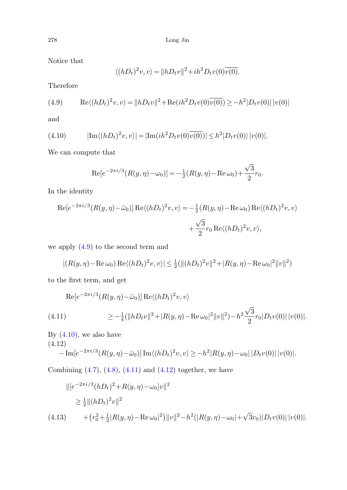<span id="page-21-1"></span>Notice that

$$
\langle (hD_t)^2 v, v \rangle = ||hD_t v||^2 + ih^2 D_t v(0) \overline{v(0)}.
$$

Therefore

(4.9) 
$$
\operatorname{Re}\langle(hD_t)^2 v, v\rangle = ||hD_t v||^2 + \operatorname{Re}(ih^2 D_t v(0) \overline{v(0)}) \ge -h^2 |D_t v(0)| |v(0)|
$$

and

Therefore  
\n(4.9) 
$$
\text{Re}\langle (hD_t)^2 v, v \rangle = ||hD_t v||^2 + \text{Re}(ih^2 D_t v(0)\overline{v(0)}) \ge -h^2 |D_t v(0)|
$$
  
\nand  
\n(4.10)  $|\text{Im}\langle (hD_t)^2 v, v \rangle| = |\text{Im}(ih^2 D_t v(0)\overline{v(0)})| \le h^2 |D_t v(0)| |v(0)|.$   
\nWe can compute that  
\n $\text{Re}[e^{-2\pi i/3}(R(y, \eta) - \omega_0)] = -\frac{1}{2}(R(y, \eta) - \text{Re}\,\omega_0) + \frac{\sqrt{3}}{2}r_0.$   
\nIn the identity  
\n $\text{Re}[e^{-2\pi i/3}(R(y, \eta) - \bar{\omega}_0)] \text{Re}\langle (hD_t)^2 v, v \rangle = -\frac{1}{2}(R(y, \eta) - \text{Re}\,\omega_0) \text{Re}\langle (hD_t)^2 v, v \rangle$ 

We can compute that

$$
\text{Re}[e^{-2\pi i/3}(R(y,\eta)-\omega_0)]=-\frac{1}{2}(R(y,\eta)-\text{Re}\,\omega_0)+\frac{\sqrt{3}}{2}r_0.
$$

In the identity

$$
\text{Re}[e^{-2\pi i/3}(R(y,\eta)-\omega_0)]=-\frac{1}{2}(R(y,\eta)-\text{Re}\,\omega_0)+\frac{1}{2}r_0.
$$
\nthe identity

\n
$$
\text{Re}[e^{-2\pi i/3}(R(y,\eta)-\bar{\omega}_0)]\,\text{Re}\langle(hD_t)^2v,v\rangle=-\frac{1}{2}(R(y,\eta)-\text{Re}\,\omega_0)\,\text{Re}\langle(hD_t)^2v,v\rangle
$$
\n
$$
+\frac{\sqrt{3}}{2}r_0\,\text{Re}\langle(hD_t)^2v,v\rangle,
$$
\napply (4.9) to the second term and

\n
$$
|(R(y,\eta)-\text{Re}\,\omega_0)\,\text{Re}\langle(hD_t)^2v,v\rangle|\leq\frac{1}{2}(\|(hD_t)^2v\|^2+|R(y,\eta)-\text{Re}\,\omega_0|^2\|v\|^2)
$$
\nthe first term, and get

\n
$$
\text{Re}[e^{-2\pi i/3}(R(y,\eta)-\bar{\omega}_0)]\,\text{Re}\langle(hD_t)^2v,v\rangle
$$

we apply  $(4.9)$  $(4.9)$  $(4.9)$  to the second term and

$$
|(R(y, \eta) - \text{Re}\,\omega_0) \text{Re}\langle (hD_t)^2 v, v \rangle| \le \frac{1}{2} (||(hD_t)^2 v||^2 + |R(y, \eta) - \text{Re}\,\omega_0|^2 ||v||^2)
$$

<span id="page-21-3"></span>to the first term, and get

$$
+\frac{1}{2}r_0 \text{ Re}((hD_t)^{-}v, v),
$$
\nwe apply (4.9) to the second term and\n
$$
|(R(y, \eta) - \text{Re}\,\omega_0) \text{ Re}\langle (hD_t)^2 v, v \rangle| \le \frac{1}{2}(\|(hD_t)^2 v\|^2 + |R(y, \eta) - \text{Re}\,\omega_0|^2 \|v\|^2)
$$
\nto the first term, and get\n
$$
\text{Re}[e^{-2\pi i/3}(R(y, \eta) - \bar{\omega}_0)] \text{ Re}\langle (hD_t)^2 v, v \rangle
$$
\n(4.11)\n
$$
\ge -\frac{1}{4}(\|hD_t v\|^2 + |R(y, \eta) - \text{Re}\,\omega_0|^2 \|v\|^2) - h^2 \frac{\sqrt{3}}{2}r_0|D_t v(0)| |v(0)|.
$$
\nBy (4.10), we also have\n
$$
(4.12) \qquad -\text{Im}[e^{-2\pi i/3}(R(y, \eta) - \bar{\omega}_0)] \text{Im}\langle (hD_t)^2 v, v \rangle \ge -h^2 |R(y, \eta) - \omega_0| |D_t v(0)| |v(0)|.
$$

<span id="page-21-4"></span><span id="page-21-2"></span> $\langle v, v \rangle \geq -h^2 |R(y, \eta) - \omega_0| |D_t v(0)| |v(0)|.$ 

By  $(4.10)$ , we also have (4.12)

Combining  $(4.7), (4.8), (4.11)$  $(4.7), (4.8), (4.11)$  $(4.7), (4.8), (4.11)$  $(4.7), (4.8), (4.11)$  $(4.7), (4.8), (4.11)$  $(4.7), (4.8), (4.11)$  and  $(4.12)$  $(4.12)$  $(4.12)$  together, we have

$$
\begin{aligned} \|\left[e^{-2\pi i/3} (hD_t)^2 + R(y,\eta) - \omega_0\right]v\|^2 \\ &\ge \frac{1}{2} \|(hD_t)^2 v\|^2 \\ (4.13) \qquad &+ \left(r_0^2 + \frac{1}{2}|R(y,\eta) - \text{Re}\,\omega_0|^2\right) \|v\|^2 - h^2(|R(y,\eta) - \omega_0| + \sqrt{3}r_0)|D_t v(0)| \, |v(0)|. \end{aligned}
$$

<span id="page-21-0"></span>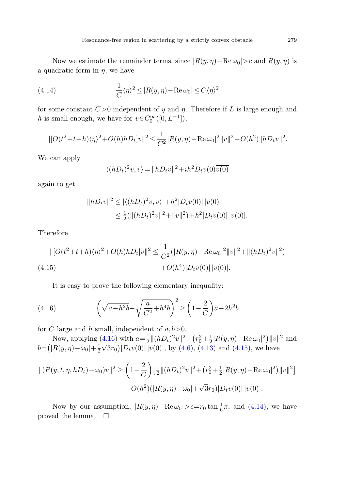<span id="page-22-2"></span>Now we estimate the remainder terms, since  $|R(y, \eta) - \text{Re}\,\omega_0| > c$  and  $R(y, \eta)$  is a quadratic form in  $\eta$ , we have

(4.14) 
$$
\frac{1}{C} \langle \eta \rangle^2 \leq |R(y, \eta) - \text{Re } \omega_0| \leq C \langle \eta \rangle^2
$$

for some constant  $C>0$  independent of y and  $\eta$ . Therefore if L is large enough and h is small enough, we have for  $v \in C_0^{\infty}([0, L^{-1}]),$ 

$$
\| [O(t^2+t+h)\langle \eta \rangle^2 + O(h)hD_t]v\|^2 \le \frac{1}{C^2} |R(y,\eta) - \text{Re}\,\omega_0|^2 \|v\|^2 + O(h^2) \|hD_t v\|^2.
$$

We can apply

<span id="page-22-1"></span>
$$
\langle (hD_t)^2 v, v \rangle = ||hD_t v||^2 + ih^2 D_t v(0) \overline{v(0)}
$$

again to get

$$
||hD_t v||^2 \le |\langle (hD_t)^2 v, v \rangle| + h^2 |D_t v(0)| |v(0)|
$$
  
\n
$$
\le \frac{1}{2} (||(hD_t)^2 v||^2 + ||v||^2) + h^2 |D_t v(0)| |v(0)|.
$$

Therefore

<span id="page-22-0"></span>
$$
\| [O(t^2+t+h)\langle \eta \rangle^2 + O(h)hD_t]v\|^2 \le \frac{1}{C^2} (|R(y,\eta) - \text{Re}\,\omega_0|^2 \|v\|^2 + \|(hD_t)^2 v\|^2)
$$
  
(4.15) 
$$
+ O(h^4) |D_t v(0)| |v(0)|.
$$

It is easy to prove the following elementary inequality:

(4.16) 
$$
\left(\sqrt{a-h^2b}-\sqrt{\frac{a}{C^2}+h^4b}\right)^2 \ge \left(1-\frac{2}{C}\right)a-2h^2b
$$

for C large and h small, independent of  $a, b > 0$ .

Now, applying  $(4.16)$  $(4.16)$  with  $a=\frac{1}{2}||(hD_t)^2v||^2 + (r_0^2 + \frac{1}{2}|R(y,\eta) - \text{Re}\,\omega_0|^2)||v||^2$  and Now, applying (4.10) with  $a = \frac{1}{2} ||(hD_t) || + (V_0 + \frac{1}{2} |I_0(y, \eta) - I_0| ||v_0||)$ <br>  $b = (|R(y, \eta) - \omega_0| + \frac{1}{2} \sqrt{3} r_0 |D_t v(0)| |v(0)|$ , by ([4.6\)](#page-20-2), ([4.13](#page-21-4)) and ([4.15](#page-22-1)), we have

$$
||(P(y,t,\eta,hD_t) - \omega_0)v||^2 \ge \left(1 - \frac{2}{C}\right) \left[\frac{1}{2}||(hD_t)^2v||^2 + (r_0^2 + \frac{1}{2}|R(y,\eta) - \text{Re}\,\omega_0|^2)||v||^2\right] - O(h^2)(|R(y,\eta) - \omega_0| + \sqrt{3}r_0)|D_t v(0)||v(0)|.
$$

Now by our assumption,  $|R(y, \eta) - \text{Re}\,\omega_0| > c = r_0 \tan \frac{1}{6}\pi$ , and  $(4.14)$  $(4.14)$ , we have proved the lemma.  $\Box$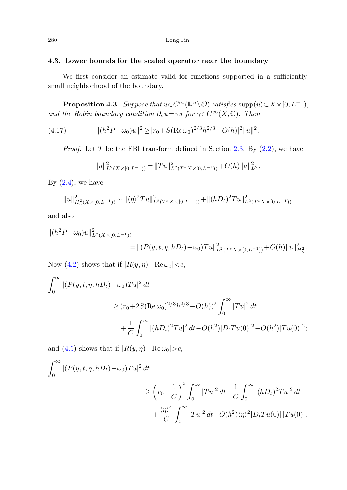#### <span id="page-23-0"></span>**4.3. Lower bounds for the scaled operator near the boundary**

We first consider an estimate valid for functions supported in a sufficiently small neighborhood of the boundary.

**Proposition 4.3.** Suppose that  $u \in C^{\infty}(\mathbb{R}^n \setminus \mathcal{O})$  satisfies supp $(u) \subset X \times [0, L^{-1}),$ and the Robin boundary condition  $\partial_{\nu}u=\gamma u$  for  $\gamma\in C^{\infty}(X,\mathbb{C})$ . Then

(4.17) 
$$
\| (h^2 P - \omega_0) u \|^2 \ge |r_0 + S(\text{Re}\,\omega_0)^{2/3} h^{2/3} - O(h)|^2 \| u \|^2.
$$

*Proof.* Let T be the FBI transform defined in Section [2.3](#page-7-0). By  $(2.2)$ , we have

$$
||u||_{L^{2}(X\times[0,L^{-1}))}^{2}=||Tu||_{L^{2}(T^{*}X\times[0,L^{-1}))}^{2}+O(h)||u||_{L^{2}}^{2}.
$$

By  $(2.4)$  $(2.4)$ , we have

$$
||u||_{H_h^2(X\times [0,L^{-1}))}^2 \sim ||\langle \eta \rangle^2 Tu||_{L^2(T^*X\times [0,L^{-1}))}^2 + ||(hD_t)^2 Tu||_{L^2(T^*X\times [0,L^{-1}))}^2
$$

and also

$$
||(h^{2}P - \omega_{0})u||^{2}_{L^{2}(X \times [0, L^{-1}))}
$$
  
=  $||(P(y, t, \eta, hD_{t}) - \omega_{0})Tu||^{2}_{L^{2}(T^{*}X \times [0, L^{-1}))} + O(h)||u||^{2}_{H_{h}^{2}}.$ 

Now [\(4.2](#page-19-1)) shows that if  $|R(y, \eta) - \text{Re}\,\omega_0| < c$ ,

$$
\int_0^{\infty} |(P(y, t, \eta, hD_t) - \omega_0)Tu|^2 dt
$$
  
\n
$$
\ge (r_0 + 2S(\text{Re}\,\omega_0)^{2/3}h^{2/3} - O(h))^2 \int_0^{\infty} |Tu|^2 dt
$$
  
\n
$$
+ \frac{1}{C} \int_0^{\infty} |(hD_t)^2 Tu|^2 dt - O(h^2)|D_tTu(0)|^2 - O(h^2)|Tu(0)|^2;
$$

and ([4.5\)](#page-20-3) shows that if  $|R(y, \eta) - \text{Re}\,\omega_0| > c$ ,

$$
\int_0^{\infty} |(P(y, t, \eta, hD_t) - \omega_0)Tu|^2 dt
$$
  
\n
$$
\geq \left(r_0 + \frac{1}{C}\right)^2 \int_0^{\infty} |Tu|^2 dt + \frac{1}{C} \int_0^{\infty} |(hD_t)^2 Tu|^2 dt
$$
  
\n
$$
+ \frac{\langle \eta \rangle^4}{C} \int_0^{\infty} |Tu|^2 dt - O(h^2) \langle \eta \rangle^2 |D_t Tu(0)| |Tu(0)|.
$$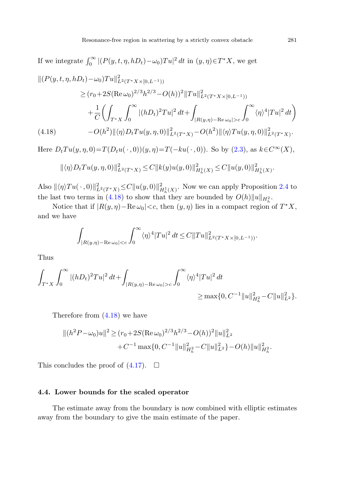<span id="page-24-0"></span>If we integrate  $\int_0^\infty |(P(y, t, \eta, hD_t) - \omega_0)Tu|^2 dt$  in  $(y, \eta) \in T^*X$ , we get

$$
\| (P(y, t, \eta, hD_t) - \omega_0) T u \|_{L^2(T^* X \times [0, L^{-1}))}^2
$$
  
\n
$$
\geq (r_0 + 2S(\text{Re}\,\omega_0)^{2/3} h^{2/3} - O(h))^2 \|T u\|_{L^2(T^* X \times [0, L^{-1}))}^2
$$
  
\n
$$
+ \frac{1}{C} \left( \int_{T^* X} \int_0^\infty |(hD_t)^2 T u|^2 dt + \int_{|R(y, \eta) - \text{Re}\,\omega_0| > c} \int_0^\infty \langle \eta \rangle^4 |T u|^2 dt \right)
$$
  
\n(4.18) 
$$
-O(h^2) \| \langle \eta \rangle D_t T u(y, \eta, 0) \|_{L^2(T^* X)}^2 - O(h^2) \| \langle \eta \rangle T u(y, \eta, 0) \|_{L^2(T^* X)}^2.
$$

Here  $D_tTu(y, \eta, 0)=T(D_tu(\cdot, 0))(y, \eta)=T(-ku(\cdot, 0))$ . So by  $(2.3)$ , as  $k\in C^{\infty}(X)$ ,

$$
\|\langle \eta \rangle D_t T u(y, \eta, 0)\|_{L^2(T^*X)}^2 \leq C \|k(y)u(y, 0)\|_{H_h^1(X)}^2 \leq C \|u(y, 0)\|_{H_h^1(X)}^2.
$$

Also  $\|\langle \eta \rangle T u(\cdot,0)\|_{L^2(T^*X)}^2 \leq C \|u(y,0)\|_{H_h^1(X)}^2$ . Now we can apply Proposition [2.4](#page-7-1) to the last two terms in ([4.18](#page-24-0)) to show that they are bounded by  $O(h) \|u\|_{H_h^2}$ .

Notice that if  $|R(y, \eta) - \text{Re}\,\omega_0| < c$ , then  $(y, \eta)$  lies in a compact region of  $T^*X$ , and we have

$$
\int_{|R(y,\eta)-{\rm Re}\,\omega_0|
$$

Thus

$$
\int_{T^*X}\int_0^\infty|(hD_t)^2Tu|^2\,dt+\int_{|R(y,\eta)-{\rm Re}\,\omega_0|>c}\int_0^\infty\langle\eta\rangle^4|Tu|^2\,dt\geq \max\{0,C^{-1}\|u\|_{H_h^2}^2-C\|u\|_{L^2}^2\}.
$$

Therefore from [\(4.18](#page-24-0)) we have

$$
||(h^2P - \omega_0)u||^2 \ge (r_0 + 2S(\text{Re}\,\omega_0)^{2/3}h^{2/3} - O(h))^2 ||u||_{L^2}^2
$$
  
+ $C^{-1} \max\{0, C^{-1} ||u||_{H_h^2}^2 - C ||u||_{L^2}^2\} - O(h) ||u||_{H_h^2}^2.$ 

This concludes the proof of  $(4.17)$ .  $\Box$ 

### **4.4. Lower bounds for the scaled operator**

The estimate away from the boundary is now combined with elliptic estimates away from the boundary to give the main estimate of the paper.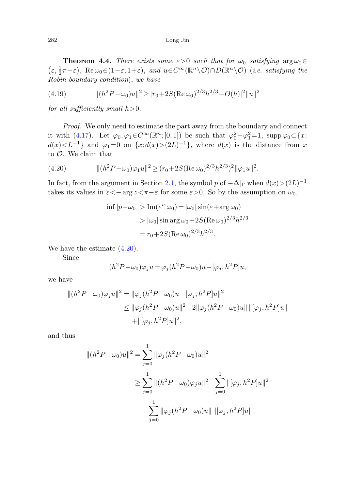<span id="page-25-0"></span>**Theorem 4.4.** There exists some  $\varepsilon > 0$  such that for  $\omega_0$  satisfying  $\arg \omega_0 \in$  $(\varepsilon, \frac{1}{2}\pi-\varepsilon)$ , Re  $\omega_0 \in (1-\varepsilon, 1+\varepsilon)$ , and  $u \in C^\infty(\mathbb{R}^n \setminus \mathcal{O}) \cap D(\mathbb{R}^n \setminus \mathcal{O})$  (i.e. satisfying the Robin boundary condition), we have

(4.19) 
$$
\| (h^2 P - \omega_0)u\|^2 \ge |r_0 + 2S(\text{Re}\,\omega_0)^{2/3}h^{2/3} - O(h)|^2 \|u\|^2
$$

<span id="page-25-1"></span>for all sufficiently small  $h > 0$ .

Proof. We only need to estimate the part away from the boundary and connect it with ([4.17](#page-23-0)). Let  $\varphi_0, \varphi_1 \in C^\infty(\mathbb{R}^n; [0,1])$  be such that  $\varphi_0^2 + \varphi_1^2 = 1$ , supp  $\varphi_0 \subset \{x:$  $d(x) < L^{-1}$ } and  $\varphi_1 = 0$  on  $\{x : d(x) > (2L)^{-1}\}\$ , where  $d(x)$  is the distance from x to  $\mathcal{O}$ . We claim that

(4.20) 
$$
\|(h^2 P - \omega_0)\varphi_1 u\|^2 \ge (r_0 + 2S(\text{Re}\,\omega_0)^{2/3}h^{2/3})^2\|\varphi_1 u\|^2.
$$

In fact, from the argument in Section [2.1,](#page-3-0) the symbol p of  $-\Delta|_{\Gamma}$  when  $d(x)>(2L)^{-1}$ takes its values in  $\varepsilon < -\arg z < \pi - \varepsilon$  for some  $\varepsilon > 0$ . So by the assumption on  $\omega_0$ ,

$$
\inf |p - \omega_0| > \operatorname{Im}(e^{i\epsilon}\omega_0) = |\omega_0| \sin(\epsilon + \arg \omega_0)
$$
  
>  $|\omega_0| \sin \arg \omega_0 + 2S(\operatorname{Re} \omega_0)^{2/3} h^{2/3}$   
=  $r_0 + 2S(\operatorname{Re} \omega_0)^{2/3} h^{2/3}.$ 

We have the estimate ([4.20](#page-25-1)).

Since

$$
(h2P - \omega_0)\varphi_j u = \varphi_j(h2P - \omega_0)u - [\varphi_j, h2P]u,
$$

we have

$$
||(h^{2}P - \omega_{0})\varphi_{j}u||^{2} = ||\varphi_{j}(h^{2}P - \omega_{0})u - [\varphi_{j}, h^{2}P]u||^{2}
$$
  
\n
$$
\leq ||\varphi_{j}(h^{2}P - \omega_{0})u||^{2} + 2||\varphi_{j}(h^{2}P - \omega_{0})u|| ||[\varphi_{j}, h^{2}P]u||
$$
  
\n
$$
+ ||[\varphi_{j}, h^{2}P]u||^{2},
$$

and thus

$$
|| (h2 P - \omega_0)u||2 = \sum_{j=0}^{1} ||\varphi_j(h2 P - \omega_0)u||2
$$
  
\n
$$
\geq \sum_{j=0}^{1} ||(h2 P - \omega_0)\varphi_j u||2 - \sum_{j=0}^{1} ||[\varphi_j, h2 P]u||2
$$
  
\n
$$
- \sum_{j=0}^{1} ||\varphi_j(h2 P - \omega_0)u|| ||[\varphi_j, h2 P]u||.
$$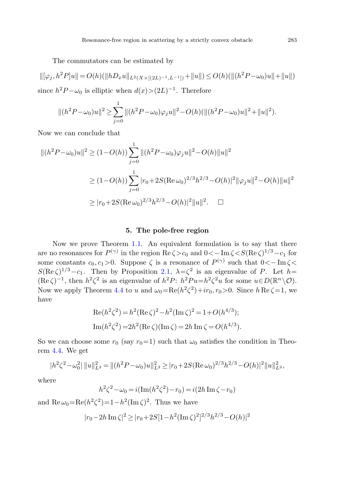The commutators can be estimated by

$$
\|[\varphi_j, h^2 P]u\| = O(h)(\|hD_x u\|_{L^2(X \times [(2L)^{-1}, L^{-1}])} + \|u\|) \le O(h)(\|(h^2 P - \omega_0)u\| + \|u\|)
$$
  
since  $h^2 P - \omega_0$  is elliptic when  $d(x) > (2L)^{-1}$ . Therefore

$$
\|(h^2P - \omega_0)u\|^2 \ge \sum_{j=0}^1 \|(h^2P - \omega_0)\varphi_j u\|^2 - O(h)(\|(h^2P - \omega_0)u\|^2 + \|u\|^2).
$$

Now we can conclude that

<span id="page-26-0"></span>
$$
||(h^{2}P - \omega_{0})u||^{2} \ge (1 - O(h)) \sum_{j=0}^{1} ||(h^{2}P - \omega_{0})\varphi_{j}u||^{2} - O(h)||u||^{2}
$$
  

$$
\ge (1 - O(h)) \sum_{j=0}^{1} |r_{0} + 2S(\text{Re}\,\omega_{0})^{2/3}h^{2/3} - O(h)|^{2}||\varphi_{j}u||^{2} - O(h)||u||^{2}
$$
  

$$
\ge |r_{0} + 2S(\text{Re}\,\omega_{0})^{2/3}h^{2/3} - O(h)|^{2}||u||^{2}.\quad \Box
$$

## **5. The pole-free region**

Now we prove Theorem [1.1.](#page-2-0) An equivalent formulation is to say that there are no resonances for  $P^{(\gamma)}$  in the region Re  $\zeta > c_0$  and  $0 \lt -\text{Im }\zeta < S(\text{Re }\zeta)^{1/3}-c_1$  for some constants  $c_0, c_1>0$ . Suppose  $\zeta$  is a resonance of  $P^{(\gamma)}$  such that  $0<-\text{Im }\zeta$  $S(\text{Re }\zeta)^{1/3}-c_1$ . Then by Proposition [2.1](#page-5-0),  $\lambda=\zeta^2$  is an eigenvalue of P. Let  $h=$  $(\text{Re }\zeta)^{-1}$ , then  $h^2\zeta^2$  is an eigenvalue of  $h^2P$ :  $h^2Pu=h^2\zeta^2u$  for some  $u\in D(\mathbb{R}^n\setminus\mathcal{O})$ . Now we apply Theorem [4.4](#page-25-0) to u and  $\omega_0 = \text{Re}(h^2\zeta^2) + i r_0, r_0 > 0$ . Since  $h \text{Re}\,\zeta = 1$ , we have

$$
Re(h^{2}\zeta^{2}) = h^{2}(Re \zeta)^{2} - h^{2}(Im \zeta)^{2} = 1 + O(h^{4/3});
$$
  
\n
$$
Im(h^{2}\zeta^{2}) = 2h^{2}(Re \zeta)(Im \zeta) = 2h Im \zeta = O(h^{4/3}).
$$

So we can choose some  $r_0$  (say  $r_0=1$ ) such that  $\omega_0$  satisfies the condition in Theorem [4.4](#page-25-0). We get

$$
|h^2\zeta^2 - \omega_0^2| \|u\|_{L^2}^2 = \|(h^2P - \omega_0)u\|_{L^2}^2 \ge |r_0 + 2S(\text{Re}\,\omega_0)^{2/3}h^{2/3} - O(h)|^2 \|u\|_{L^2}^2,
$$

where

$$
h^{2}\zeta^{2} - \omega_{0} = i(\text{Im}(h^{2}\zeta^{2}) - r_{0}) = i(2h \text{ Im }\zeta - r_{0})
$$

and  $\text{Re}\,\omega_0=\text{Re}(h^2\zeta^2)=1-h^2(\text{Im}\,\zeta)^2$ . Thus we have

$$
|r_0 - 2h \operatorname{Im} \zeta|^2 \ge |r_0 + 2S[1 - h^2(\operatorname{Im} \zeta)^2]^{2/3}h^{2/3} - O(h)|^2
$$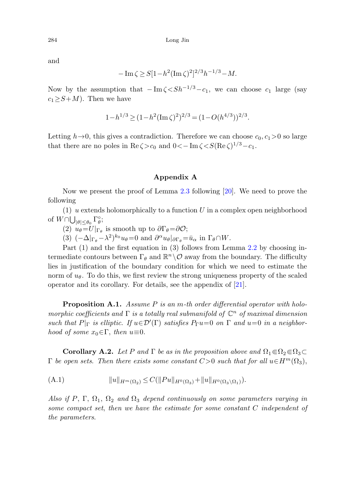and

$$
-\operatorname{Im}\zeta \ge S[1-h^2(\operatorname{Im}\zeta)^2]^{2/3}h^{-1/3} - M.
$$

Now by the assumption that  $-\text{Im }\zeta \leq S h^{-1/3}-c_1$ , we can choose  $c_1$  large (say  $c_1 \geq S+M$ ). Then we have

$$
1 - h^{1/3} \ge (1 - h^2 (\operatorname{Im} \zeta)^2)^{2/3} = (1 - O(h^{4/3}))^{2/3}.
$$

<span id="page-27-0"></span>Letting  $h\rightarrow 0$ , this gives a contradiction. Therefore we can choose  $c_0, c_1>0$  so large that there are no poles in Re $\zeta > c_0$  and  $0 < -\text{Im }\zeta < S(\text{Re }\zeta)^{1/3} - c_1$ .

#### **Appendix A**

Now we present the proof of Lemma [2.3](#page-6-0) following [[20\]](#page-31-14). We need to prove the following

 $(1)$  u extends holomorphically to a function U in a complex open neighborhood of  $W \cap \bigcup_{|\theta| \leq \theta_0} \Gamma_{\theta}^{\circ}$ ;

(2)  $u_{\theta} = U|_{\Gamma_{\theta}}$  is smooth up to  $\partial \Gamma_{\theta} = \partial \mathcal{O}$ ;

(3)  $(-\Delta|_{\Gamma_{\theta}} - \lambda^2)^{k_0} u_{\theta} = 0$  and  $\partial^{\alpha} u_{\theta}|_{\partial \Gamma_{\theta}} = \bar{u}_{\alpha}$  in  $\Gamma_{\theta} \cap W$ .

Part (1) and the first equation in (3) follows from Lemma [2.2](#page-5-1) by choosing intermediate contours between  $\Gamma_{\theta}$  and  $\mathbb{R}^n \setminus \mathcal{O}$  away from the boundary. The difficulty lies in justification of the boundary condition for which we need to estimate the norm of  $u_{\theta}$ . To do this, we first review the strong uniqueness property of the scaled operator and its corollary. For details, see the appendix of [\[21](#page-31-15)].

<span id="page-27-1"></span>**Proposition A.1.** Assume P is an m-th order differential operator with holomorphic coefficients and  $\Gamma$  is a totally real submanifold of  $\mathbb{C}^n$  of maximal dimension such that  $P|_{\Gamma}$  is elliptic. If  $u \in \mathcal{D}'(\Gamma)$  satisfies  $P_{\Gamma}u=0$  on  $\Gamma$  and  $u=0$  in a neighborhood of some  $x_0 \in \Gamma$ , then  $u \equiv 0$ .

**Corollary A.2.** Let P and  $\Gamma$  be as in the proposition above and  $\Omega_1 \in \Omega_2 \in \Omega_3 \subset \mathbb{R}$  $\Gamma$  be open sets. Then there exists some constant  $C>0$  such that for all  $u\in H^m(\Omega_3)$ ,

(A.1) 
$$
||u||_{H^m(\Omega_2)} \leq C(||Pu||_{H^0(\Omega_3)} + ||u||_{H^0(\Omega_3 \setminus \Omega_1)}).
$$

Also if P,  $\Gamma$ ,  $\Omega_1$ ,  $\Omega_2$  and  $\Omega_3$  depend continuously on some parameters varying in some compact set, then we have the estimate for some constant C independent of the parameters.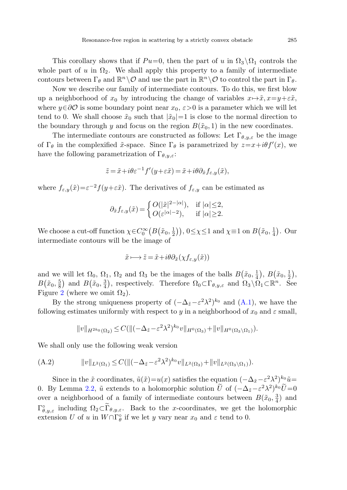This corollary shows that if  $Pu=0$ , then the part of u in  $\Omega_3 \setminus \Omega_1$  controls the whole part of u in  $\Omega_2$ . We shall apply this property to a family of intermediate contours between  $\Gamma_{\theta}$  and  $\mathbb{R}^n \setminus \mathcal{O}$  and use the part in  $\mathbb{R}^n \setminus \mathcal{O}$  to control the part in  $\Gamma_{\theta}$ .

Now we describe our family of intermediate contours. To do this, we first blow up a neighborhood of  $x_0$  by introducing the change of variables  $x \mapsto \tilde{x}, x = y + \varepsilon \tilde{x}$ , where  $y \in \partial \mathcal{O}$  is some boundary point near  $x_0$ ,  $\varepsilon > 0$  is a parameter which we will let tend to 0. We shall choose  $\tilde{x}_0$  such that  $|\tilde{x}_0|=1$  is close to the normal direction to the boundary through y and focus on the region  $B(\tilde{x}_0, 1)$  in the new coordinates.

The intermediate contours are constructed as follows: Let  $\Gamma_{\theta, y, \varepsilon}$  be the image of  $\Gamma_{\theta}$  in the complexified  $\tilde{x}$ -space. Since  $\Gamma_{\theta}$  is parametrized by  $z=x+i\theta f'(x)$ , we have the following parametrization of  $\Gamma_{\theta,y,\varepsilon}$ :

$$
\tilde{z} = \tilde{x} + i\theta \varepsilon^{-1} f'(y + \varepsilon \tilde{x}) = \tilde{x} + i\theta \partial_{\tilde{x}} f_{\varepsilon, y}(\tilde{x}),
$$

where  $f_{\varepsilon,y}(\tilde{x})=\varepsilon^{-2}f(y+\varepsilon\tilde{x})$ . The derivatives of  $f_{\varepsilon,y}$  can be estimated as

$$
\partial_{\tilde{x}} f_{\varepsilon,y}(\tilde{x}) = \begin{cases} O(|\tilde{x}|^{2-|\alpha|}), & \text{if } |\alpha| \le 2, \\ O(\varepsilon^{|\alpha|-2}), & \text{if } |\alpha| \ge 2. \end{cases}
$$

We choose a cut-off function  $\chi \in C_0^{\infty}(B(\tilde{x}_0, \frac{1}{2}))$ ,  $0 \leq \chi \leq 1$  and  $\chi \equiv 1$  on  $B(\tilde{x}_0, \frac{1}{4})$ . Our intermediate contours will be the image of

$$
\tilde{x} \longmapsto \tilde{z} = \tilde{x} + i\theta \partial_{\tilde{x}} (\chi f_{\varepsilon, y}(\tilde{x}))
$$

and we will let  $\Omega_0, \Omega_1, \Omega_2$  and  $\Omega_3$  be the images of the balls  $B(\tilde{x}_0, \frac{1}{4}), B(\tilde{x}_0, \frac{1}{2}),$  $B(\tilde{x}_0, \frac{5}{8})$  and  $B(\tilde{x}_0, \frac{3}{4})$ , respectively. Therefore  $\Omega_0 \subset \Gamma_{\theta, y, \varepsilon}$  and  $\Omega_3 \setminus \Omega_1 \subset \mathbb{R}^n$ . See Figure [2](#page-29-0) (where we omit  $\Omega_2$ ).

<span id="page-28-0"></span>By the strong uniqueness property of  $(-\Delta_{\tilde{z}}-\varepsilon^2\lambda^2)^{k_0}$  and  $(A.1)$  $(A.1)$ , we have the following estimates uniformly with respect to y in a neighborhood of  $x_0$  and  $\varepsilon$  small,

$$
||v||_{H^{2k_0}(\Omega_2)} \leq C(||(-\Delta_{\tilde{z}} - \varepsilon^2 \lambda^2)^{k_0} v||_{H^0(\Omega_3)} + ||v||_{H^0(\Omega_3 \setminus \Omega_1)}).
$$

We shall only use the following weak version

(A.2) 
$$
||v||_{L^{2}(\Omega_{1})} \leq C(||(-\Delta_{\tilde{z}} - \varepsilon^{2}\lambda^{2})^{k_{0}}v||_{L^{2}(\Omega_{3})} + ||v||_{L^{2}(\Omega_{3}\setminus\Omega_{1})}).
$$

Since in the  $\tilde{x}$  coordinates,  $\tilde{u}(\tilde{x})=u(x)$  satisfies the equation  $(-\Delta_{\tilde{x}}-\varepsilon^2\lambda^2)^{k_0}\tilde{u}$ 0. By Lemma [2.2](#page-5-1),  $\tilde{u}$  extends to a holomorphic solution  $\tilde{U}$  of  $(-\Delta_{\tilde{z}}-\varepsilon^2\lambda^2)^{k_0}\tilde{U}=0$ over a neighborhood of a family of intermediate contours between  $B(\tilde{x}_0, \frac{3}{4})$  and  $\Gamma^{\circ}_{\theta,y,\varepsilon}$  including  $\Omega_2 \subset \Gamma_{\theta,y,\varepsilon}$ . Back to the x-coordinates, we get the holomorphic extension U of u in  $W \cap \Gamma_\theta^\circ$  if we let y vary near  $x_0$  and  $\varepsilon$  tend to 0.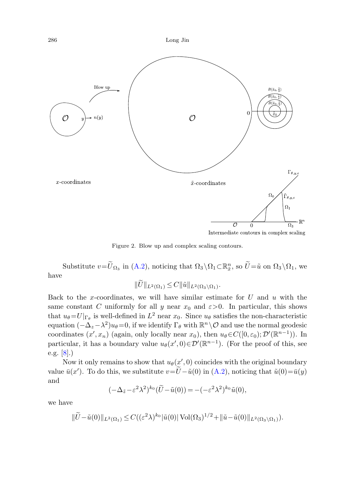



Intermediate contours in complex scaling

Figure 2. Blow up and complex scaling contours.

<span id="page-29-0"></span>Substitute  $v = \tilde{U}_{\Omega_3}$  in [\(A.2](#page-28-0)), noticing that  $\Omega_3 \setminus \Omega_1 \subset \mathbb{R}^n_{\tilde{x}}$ , so  $\tilde{U} = \tilde{u}$  on  $\Omega_3 \setminus \Omega_1$ , we have

$$
||U||_{L^2(\Omega_1)} \leq C||\tilde{u}||_{L^2(\Omega_3 \setminus \Omega_1)}.
$$

Back to the x-coordinates, we will have similar estimate for  $U$  and  $u$  with the same constant C uniformly for all y near  $x_0$  and  $\varepsilon > 0$ . In particular, this shows that  $u_{\theta} = U|_{\Gamma_{\theta}}$  is well-defined in  $L^2$  near  $x_0$ . Since  $u_{\theta}$  satisfies the non-characteristic equation  $(-\Delta_z-\lambda^2)u_\theta=0$ , if we identify  $\Gamma_\theta$  with  $\mathbb{R}^n\setminus\mathcal{O}$  and use the normal geodesic coordinates  $(x', x_n)$  (again, only locally near  $x_0$ ), then  $u_\theta \in C([0, \varepsilon_0); \mathcal{D}'(\mathbb{R}^{n-1}))$ . In particular, it has a boundary value  $u_{\theta}(x',0) \in \mathcal{D}'(\mathbb{R}^{n-1})$ . (For the proof of this, see e.g. [[8\]](#page-31-2).)

Now it only remains to show that  $u_{\theta}(x', 0)$  coincides with the original boundary value  $\bar{u}(x')$ . To do this, we substitute  $v = \tilde{U} - \tilde{u}(0)$  in [\(A.2](#page-28-0)), noticing that  $\tilde{u}(0) = \bar{u}(y)$ and

$$
(-\Delta_{\tilde{z}} - \varepsilon^2 \lambda^2)^{k_0} (\tilde{U} - \tilde{u}(0)) = -(-\varepsilon^2 \lambda^2)^{k_0} \tilde{u}(0),
$$

we have

$$
\|\widetilde{U} - \tilde{u}(0)\|_{L^2(\Omega_1)} \le C\left( (\varepsilon^2 \lambda)^{k_0} |\tilde{u}(0)| \operatorname{Vol}(\Omega_3)^{1/2} + \|\tilde{u} - \tilde{u}(0)\|_{L^2(\Omega_3 \setminus \Omega_1)} \right).
$$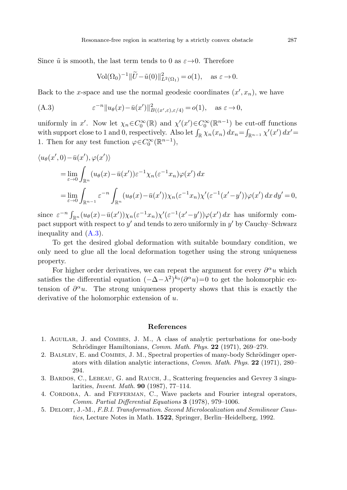<span id="page-30-5"></span>Since  $\tilde{u}$  is smooth, the last term tends to 0 as  $\varepsilon \rightarrow 0$ . Therefore

$$
Vol(\Omega_0)^{-1} \|\widetilde{U} - \widetilde{u}(0)\|_{L^2(\Omega_1)}^2 = o(1), \quad \text{as } \varepsilon \to 0.
$$

Back to the x-space and use the normal geodesic coordinates  $(x', x_n)$ , we have

(A.3) 
$$
\varepsilon^{-n} \|u_{\theta}(x) - \bar{u}(x')\|_{B((x', \varepsilon), \varepsilon/4)}^2 = o(1), \text{ as } \varepsilon \to 0,
$$

uniformly in x'. Now let  $\chi_n \in C_0^{\infty}(\mathbb{R})$  and  $\chi'(x') \in C_0^{\infty}(\mathbb{R}^{n-1})$  be cut-off functions with support close to 1 and 0, respectively. Also let  $\int_{\mathbb{R}} \chi_n(x_n) dx_n = \int_{\mathbb{R}^{n-1}} \chi'(x') dx' =$ 1. Then for any test function  $\varphi \in C_0^{\infty}(\mathbb{R}^{n-1}),$ 

$$
\langle u_{\theta}(x',0) - \bar{u}(x'), \varphi(x') \rangle
$$
  
= 
$$
\lim_{\varepsilon \to 0} \int_{\mathbb{R}^n} (u_{\theta}(x) - \bar{u}(x')) \varepsilon^{-1} \chi_n(\varepsilon^{-1} x_n) \varphi(x') dx
$$
  
= 
$$
\lim_{\varepsilon \to 0} \int_{\mathbb{R}^{n-1}} \varepsilon^{-n} \int_{\mathbb{R}^n} (u_{\theta}(x) - \bar{u}(x')) \chi_n(\varepsilon^{-1} x_n) \chi'(\varepsilon^{-1} (x'-y')) \varphi(x') dx dy' = 0,
$$

since  $\varepsilon^{-n} \int_{\mathbb{R}^n} (u_\theta(x) - \bar{u}(x')) \chi_n(\varepsilon^{-1}x_n) \chi'(\varepsilon^{-1}(x'-y')) \varphi(x') dx$  has uniformly compact support with respect to  $y'$  and tends to zero uniformly in  $y'$  by Cauchy–Schwarz inequality and ([A.3](#page-30-5)).

To get the desired global deformation with suitable boundary condition, we only need to glue all the local deformation together using the strong uniqueness property.

<span id="page-30-2"></span><span id="page-30-1"></span>For higher order derivatives, we can repeat the argument for every  $\partial^{\alpha}u$  which satisfies the differential equation  $(-\Delta - \lambda^2)^{k_0} (\partial^{\alpha} u) = 0$  to get the holomorphic extension of  $\partial^{\alpha}u$ . The strong uniqueness property shows that this is exactly the derivative of the holomorphic extension of u.

#### **References**

- <span id="page-30-4"></span><span id="page-30-3"></span><span id="page-30-0"></span>1. Aguilar, J. and Combes, J. M., A class of analytic perturbations for one-body Schrödinger Hamiltonians, *Comm. Math. Phys.* **22** (1971), 269–279.
- 2. BALSLEV, E. and COMBES, J. M., Spectral properties of many-body Schrödinger operators with dilation analytic interactions, Comm. Math. Phys. **22** (1971), 280– 294.
- 3. BARDOS, C., LEBEAU, G. and RAUCH, J., Scattering frequencies and Gevrey 3 singularities, Invent. Math. **90** (1987), 77–114.
- 4. Cordoba, A. and Fefferman, C., Wave packets and Fourier integral operators, Comm. Partial Differential Equations **3** (1978), 979–1006.
- 5. Delort, J.-M., F.B.I. Transformation. Second Microlocalization and Semilinear Caustics, Lecture Notes in Math. **1522**, Springer, Berlin–Heidelberg, 1992.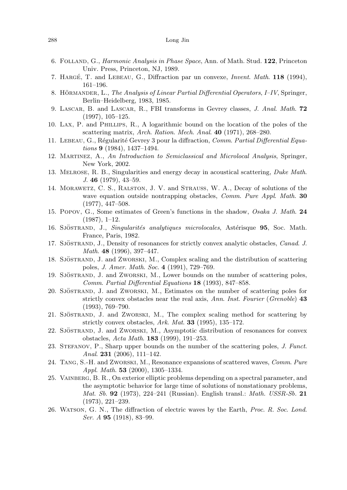- <span id="page-31-18"></span><span id="page-31-17"></span><span id="page-31-10"></span><span id="page-31-2"></span><span id="page-31-0"></span>6. Folland, G., Harmonic Analysis in Phase Space, Ann. of Math. Stud. **122**, Princeton Univ. Press, Princeton, NJ, 1989.
- <span id="page-31-5"></span>7. HARGÉ, T. and LEBEAU, G., Diffraction par un convexe, *Invent. Math.* 118 (1994), 161–196.
- <span id="page-31-20"></span>8. HÖRMANDER, L., *The Analysis of Linear Partial Differential Operators, I–IV*, Springer, Berlin–Heidelberg, 1983, 1985.
- <span id="page-31-3"></span>9. Lascar, B. and Lascar, R., FBI transforms in Gevrey classes, J. Anal. Math. **72** (1997), 105–125.
- <span id="page-31-9"></span>10. Lax, P. and Phillips, R., A logarithmic bound on the location of the poles of the scattering matrix, Arch. Ration. Mech. Anal. **40** (1971), 268–280.
- <span id="page-31-6"></span>11. LEBEAU, G., Régularité Gevrey 3 pour la diffraction, Comm. Partial Differential Equations **9** (1984), 1437–1494.
- <span id="page-31-19"></span>12. Martinez, A., An Introduction to Semiclassical and Microlocal Analysis, Springer, New York, 2002.
- <span id="page-31-11"></span>13. Melrose, R. B., Singularities and energy decay in acoustical scattering, Duke Math. J. **46** (1979), 43–59.
- <span id="page-31-13"></span>14. Morawetz, C. S., Ralston, J. V. and Strauss, W. A., Decay of solutions of the wave equation outside nontrapping obstacles, Comm. Pure Appl. Math. **30** (1977), 447–508.
- <span id="page-31-12"></span>15. Popov, G., Some estimates of Green's functions in the shadow, Osaka J. Math. **24** (1987), 1–12.
- <span id="page-31-14"></span>16. SJÖSTRAND, J., Singularités analytiques microlocales, Astérisque 95, Soc. Math. France, Paris, 1982.
- <span id="page-31-15"></span>17. SJÖSTRAND, J., Density of resonances for strictly convex analytic obstacles, Canad. J. Math. **48** (1996), 397–447.
- <span id="page-31-16"></span>18. SJÖSTRAND, J. and ZWORSKI, M., Complex scaling and the distribution of scattering poles, J. Amer. Math. Soc. **4** (1991), 729–769.
- <span id="page-31-8"></span>19. SJÖSTRAND, J. and ZWORSKI, M., Lower bounds on the number of scattering poles, Comm. Partial Differential Equations **18** (1993), 847–858.
- <span id="page-31-4"></span>20. SJÖSTRAND, J. and ZWORSKI, M., Estimates on the number of scattering poles for strictly convex obstacles near the real axis, Ann. Inst. Fourier (Grenoble) **43** (1993), 769–790.
- <span id="page-31-1"></span>21. SJÖSTRAND, J. and ZWORSKI, M., The complex scaling method for scattering by strictly convex obstacles, Ark. Mat. **33** (1995), 135–172.
- 22. SJÖSTRAND, J. and ZWORSKI, M., Asymptotic distribution of resonances for convex obstacles, Acta Math. **183** (1999), 191–253.
- <span id="page-31-7"></span>23. STEFANOV, P., Sharp upper bounds on the number of the scattering poles, J. Funct. Anal. **231** (2006), 111–142.
- 24. Tang, S.-H. and Zworski, M., Resonance expansions of scattered waves, Comm. Pure Appl. Math. **53** (2000), 1305–1334.
- 25. Vainberg, B. R., On exterior elliptic problems depending on a spectral parameter, and the asymptotic behavior for large time of solutions of nonstationary problems, Mat. Sb. **92** (1973), 224–241 (Russian). English transl.: Math. USSR-Sb. **21** (1973), 221–239.
- 26. Watson, G. N., The diffraction of electric waves by the Earth, Proc. R. Soc. Lond. Ser. A **95** (1918), 83–99.